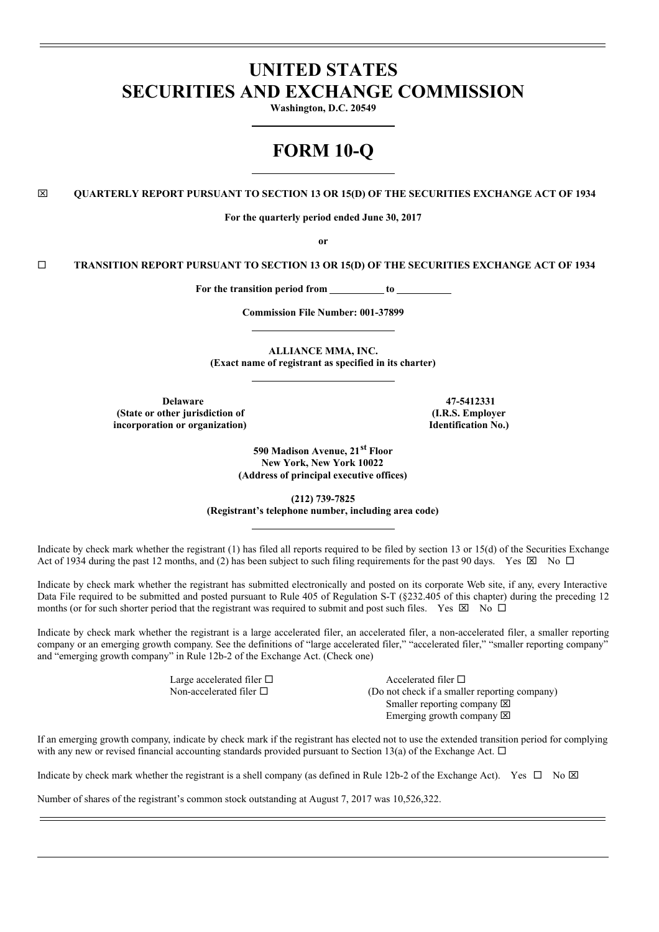# **UNITED STATES SECURITIES AND EXCHANGE COMMISSION**

**Washington, D.C. 20549**

# **FORM 10-Q**

x **QUARTERLY REPORT PURSUANT TO SECTION 13 OR 15(D) OF THE SECURITIES EXCHANGE ACT OF 1934**

**For the quarterly period ended June 30, 2017**

**or**

¨ **TRANSITION REPORT PURSUANT TO SECTION 13 OR 15(D) OF THE SECURITIES EXCHANGE ACT OF 1934**

**For the transition period from to**

**Commission File Number: 001-37899**

**ALLIANCE MMA, INC. (Exact name of registrant as specified in its charter)**

**Delaware 47-5412331 (State or other jurisdiction of incorporation or organization)**

**(I.R.S. Employer Identification No.)**

**590 Madison Avenue, 21 st Floor New York, New York 10022 (Address of principal executive offices)**

**(212) 739-7825**

**(Registrant's telephone number, including area code)**

Indicate by check mark whether the registrant (1) has filed all reports required to be filed by section 13 or 15(d) of the Securities Exchange Act of 1934 during the past 12 months, and (2) has been subject to such filing requirements for the past 90 days. Yes  $\boxtimes$  No  $\Box$ 

Indicate by check mark whether the registrant has submitted electronically and posted on its corporate Web site, if any, every Interactive Data File required to be submitted and posted pursuant to Rule 405 of Regulation S-T (§232.405 of this chapter) during the preceding 12 months (or for such shorter period that the registrant was required to submit and post such files. Yes  $\boxtimes$  No  $\Box$ 

Indicate by check mark whether the registrant is a large accelerated filer, an accelerated filer, a non-accelerated filer, a smaller reporting company or an emerging growth company. See the definitions of "large accelerated filer," "accelerated filer," "smaller reporting company" and "emerging growth company" in Rule 12b-2 of the Exchange Act. (Check one)

Large accelerated filer  $\square$  Accelerated filer  $\square$ 

Non-accelerated filer  $\Box$  (Do not check if a smaller reporting company) Smaller reporting company  $\boxtimes$ Emerging growth company  $\boxtimes$ 

If an emerging growth company, indicate by check mark if the registrant has elected not to use the extended transition period for complying with any new or revised financial accounting standards provided pursuant to Section 13(a) of the Exchange Act.  $\Box$ 

Indicate by check mark whether the registrant is a shell company (as defined in Rule 12b-2 of the Exchange Act). Yes  $\Box$  No  $\boxtimes$ 

Number of shares of the registrant's common stock outstanding at August 7, 2017 was 10,526,322.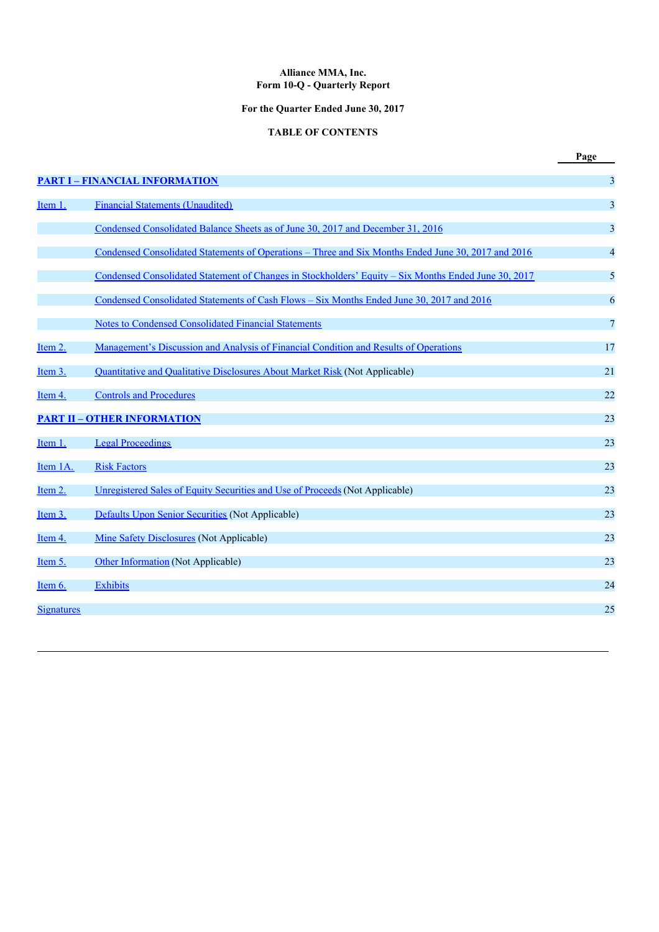## **Alliance MMA, Inc. Form 10-Q - Quarterly Report**

## **For the Quarter Ended June 30, 2017**

## **TABLE OF CONTENTS**

|                     |                                                                                                      | Page           |
|---------------------|------------------------------------------------------------------------------------------------------|----------------|
|                     | <b>PART I - FINANCIAL INFORMATION</b>                                                                | 3              |
| Item 1.             | <b>Financial Statements (Unaudited)</b>                                                              | 3              |
|                     | Condensed Consolidated Balance Sheets as of June 30, 2017 and December 31, 2016                      | 3              |
|                     | Condensed Consolidated Statements of Operations - Three and Six Months Ended June 30, 2017 and 2016  | $\overline{4}$ |
|                     | Condensed Consolidated Statement of Changes in Stockholders' Equity – Six Months Ended June 30, 2017 | 5              |
|                     | Condensed Consolidated Statements of Cash Flows - Six Months Ended June 30, 2017 and 2016            | 6              |
|                     | <b>Notes to Condensed Consolidated Financial Statements</b>                                          | $\overline{7}$ |
| Item 2.             | Management's Discussion and Analysis of Financial Condition and Results of Operations                | 17             |
| Item <sub>3</sub> . | Quantitative and Qualitative Disclosures About Market Risk (Not Applicable)                          | 21             |
| Item 4.             | <b>Controls and Procedures</b>                                                                       | 22             |
|                     | <b>PART II - OTHER INFORMATION</b>                                                                   | 23             |
| Item 1.             | <b>Legal Proceedings</b>                                                                             | 23             |
| Item 1A.            | <b>Risk Factors</b>                                                                                  | 23             |
| Item 2.             | Unregistered Sales of Equity Securities and Use of Proceeds (Not Applicable)                         | 23             |
| Item 3.             | Defaults Upon Senior Securities (Not Applicable)                                                     | 23             |
| Item 4.             | Mine Safety Disclosures (Not Applicable)                                                             | 23             |
| Item 5.             | Other Information (Not Applicable)                                                                   | 23             |
| Item 6.             | <b>Exhibits</b>                                                                                      | 24             |
| <b>Signatures</b>   |                                                                                                      | 25             |
|                     |                                                                                                      |                |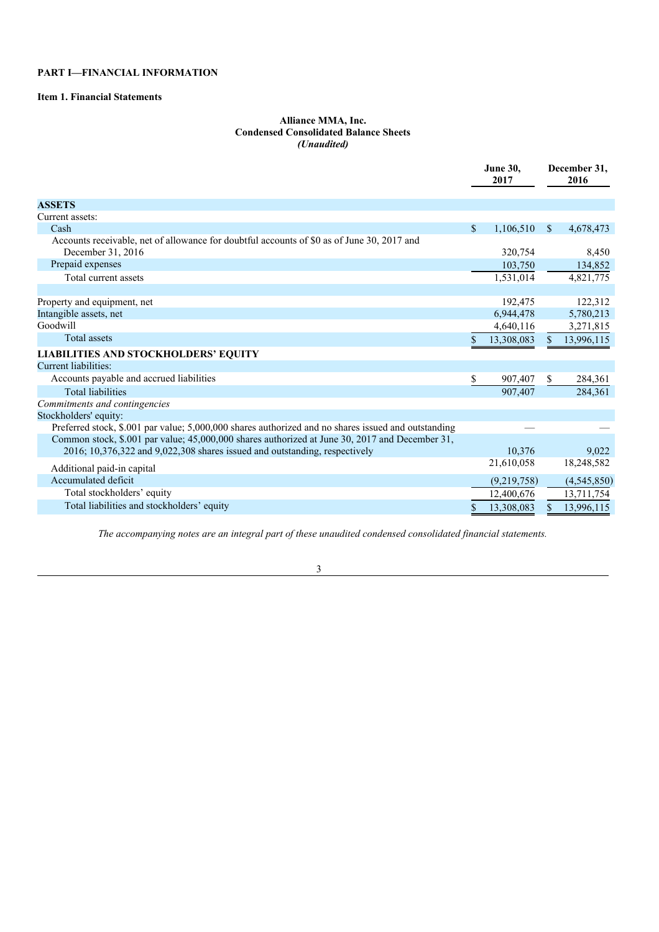## **PART I—FINANCIAL INFORMATION**

## **Item 1. Financial Statements**

## **Alliance MMA, Inc. Condensed Consolidated Balance Sheets** *(Unaudited)*

|                                                                                                                 |               | <b>June 30,</b><br>2017 |               | December 31,<br>2016 |
|-----------------------------------------------------------------------------------------------------------------|---------------|-------------------------|---------------|----------------------|
| <b>ASSETS</b>                                                                                                   |               |                         |               |                      |
| Current assets:                                                                                                 |               |                         |               |                      |
| Cash                                                                                                            | <sup>\$</sup> | 1,106,510               | <sup>\$</sup> | 4,678,473            |
| Accounts receivable, net of allowance for doubtful accounts of \$0 as of June 30, 2017 and<br>December 31, 2016 |               | 320,754                 |               | 8,450                |
| Prepaid expenses                                                                                                |               | 103,750                 |               | 134,852              |
| Total current assets                                                                                            |               | 1,531,014               |               | 4,821,775            |
|                                                                                                                 |               |                         |               |                      |
| Property and equipment, net                                                                                     |               | 192,475                 |               | 122,312              |
| Intangible assets, net                                                                                          |               | 6,944,478               |               | 5,780,213            |
| Goodwill                                                                                                        |               | 4,640,116               |               | 3,271,815            |
| <b>Total</b> assets                                                                                             | \$            | 13,308,083              | \$            | 13,996,115           |
| <b>LIABILITIES AND STOCKHOLDERS' EQUITY</b>                                                                     |               |                         |               |                      |
| Current liabilities:                                                                                            |               |                         |               |                      |
| Accounts payable and accrued liabilities                                                                        | \$            | 907,407                 | \$            | 284,361              |
| <b>Total liabilities</b>                                                                                        |               | 907,407                 |               | 284,361              |
| Commitments and contingencies                                                                                   |               |                         |               |                      |
| Stockholders' equity:                                                                                           |               |                         |               |                      |
| Preferred stock, \$.001 par value; 5,000,000 shares authorized and no shares issued and outstanding             |               |                         |               |                      |
| Common stock, \$.001 par value; 45,000,000 shares authorized at June 30, 2017 and December 31,                  |               |                         |               |                      |
| 2016; 10,376,322 and 9,022,308 shares issued and outstanding, respectively                                      |               | 10,376                  |               | 9.022                |
| Additional paid-in capital                                                                                      |               | 21,610,058              |               | 18,248,582           |
| Accumulated deficit                                                                                             |               | (9,219,758)             |               | (4,545,850)          |
| Total stockholders' equity                                                                                      |               | 12,400,676              |               | 13,711,754           |
| Total liabilities and stockholders' equity                                                                      |               | 13,308,083              | \$            | 13,996,115           |
|                                                                                                                 |               |                         |               |                      |

*The accompanying notes are an integral part of these unaudited condensed consolidated financial statements.*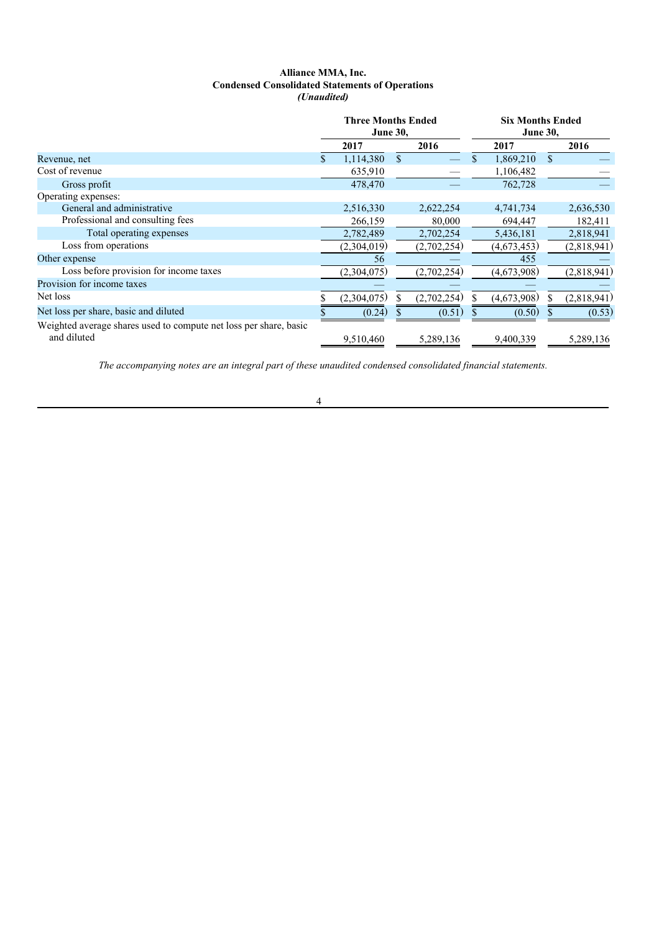## **Alliance MMA, Inc. Condensed Consolidated Statements of Operations** *(Unaudited)*

|                                                                                  | <b>Three Months Ended</b><br><b>June 30,</b> |             |    | <b>Six Months Ended</b><br><b>June 30,</b> |  |             |              |             |
|----------------------------------------------------------------------------------|----------------------------------------------|-------------|----|--------------------------------------------|--|-------------|--------------|-------------|
|                                                                                  |                                              | 2017        |    | 2016                                       |  | 2017        |              | 2016        |
| Revenue, net                                                                     |                                              | 1,114,380   | S. |                                            |  | 1,869,210   | <sup>S</sup> |             |
| Cost of revenue                                                                  |                                              | 635,910     |    |                                            |  | 1,106,482   |              |             |
| Gross profit                                                                     |                                              | 478,470     |    |                                            |  | 762,728     |              |             |
| Operating expenses:                                                              |                                              |             |    |                                            |  |             |              |             |
| General and administrative                                                       |                                              | 2,516,330   |    | 2,622,254                                  |  | 4,741,734   |              | 2,636,530   |
| Professional and consulting fees                                                 |                                              | 266,159     |    | 80,000                                     |  | 694,447     |              | 182,411     |
| Total operating expenses                                                         |                                              | 2,782,489   |    | 2,702,254                                  |  | 5,436,181   |              | 2,818,941   |
| Loss from operations                                                             |                                              | (2,304,019) |    | (2,702,254)                                |  | (4,673,453) |              | (2,818,941) |
| Other expense                                                                    |                                              | 56          |    |                                            |  | 455         |              |             |
| Loss before provision for income taxes                                           |                                              | (2,304,075) |    | (2,702,254)                                |  | (4,673,908) |              | (2,818,941) |
| Provision for income taxes                                                       |                                              |             |    |                                            |  |             |              |             |
| Net loss                                                                         |                                              | (2,304,075) |    | (2,702,254)                                |  | (4,673,908) |              | (2,818,941) |
| Net loss per share, basic and diluted                                            |                                              | (0.24)      |    | (0.51)                                     |  | (0.50)      |              | (0.53)      |
| Weighted average shares used to compute net loss per share, basic<br>and diluted |                                              | 9,510,460   |    | 5,289,136                                  |  | 9,400,339   |              | 5,289,136   |

*The accompanying notes are an integral part of these unaudited condensed consolidated financial statements.*

## 4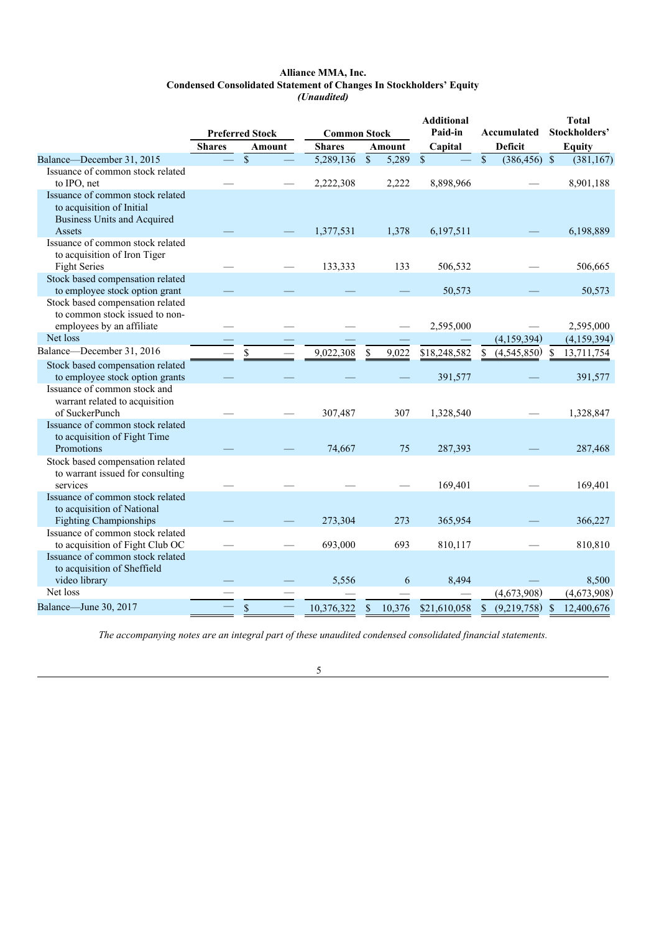## **Alliance MMA, Inc. Condensed Consolidated Statement of Changes In Stockholders' Equity** *(Unaudited)*

|                                                                                                     |               | <b>Preferred Stock</b> | <b>Common Stock</b> |                          | <b>Additional</b><br>Paid-in | <b>Total</b><br>Stockholders'         |                  |
|-----------------------------------------------------------------------------------------------------|---------------|------------------------|---------------------|--------------------------|------------------------------|---------------------------------------|------------------|
|                                                                                                     | <b>Shares</b> | Amount                 | <b>Shares</b>       | Amount                   | Capital                      | <b>Deficit</b>                        | <b>Equity</b>    |
| Balance-December 31, 2015                                                                           |               | $\mathcal{S}$          | 5,289,136           | $\overline{\$}$<br>5,289 | $\overline{\$}$              | $\mathbf{\hat{S}}$<br>$(386, 456)$ \$ | (381, 167)       |
| Issuance of common stock related<br>to IPO, net                                                     |               |                        | 2,222,308           | 2,222                    | 8,898,966                    |                                       | 8,901,188        |
| Issuance of common stock related<br>to acquisition of Initial<br><b>Business Units and Acquired</b> |               |                        |                     |                          |                              |                                       |                  |
| Assets                                                                                              |               |                        | 1,377,531           | 1,378                    | 6,197,511                    |                                       | 6,198,889        |
| Issuance of common stock related<br>to acquisition of Iron Tiger<br><b>Fight Series</b>             |               |                        | 133,333             | 133                      | 506,532                      |                                       | 506,665          |
| Stock based compensation related                                                                    |               |                        |                     |                          |                              |                                       |                  |
| to employee stock option grant                                                                      |               |                        |                     |                          | 50,573                       |                                       | 50,573           |
| Stock based compensation related<br>to common stock issued to non-                                  |               |                        |                     |                          |                              |                                       |                  |
| employees by an affiliate                                                                           |               |                        |                     |                          | 2,595,000                    |                                       | 2,595,000        |
| Net loss                                                                                            |               |                        |                     |                          |                              | (4,159,394)                           | (4,159,394)      |
| Balance-December 31, 2016                                                                           |               | \$                     | 9,022,308           | \$<br>9.022              | \$18,248,582                 | (4,545,850)<br>\$                     | \$<br>13,711,754 |
| Stock based compensation related<br>to employee stock option grants                                 |               |                        |                     |                          | 391,577                      |                                       | 391,577          |
| Issuance of common stock and<br>warrant related to acquisition<br>of SuckerPunch                    |               |                        | 307,487             | 307                      | 1,328,540                    |                                       | 1,328,847        |
| Issuance of common stock related                                                                    |               |                        |                     |                          |                              |                                       |                  |
| to acquisition of Fight Time<br>Promotions                                                          |               |                        | 74,667              | 75                       | 287,393                      |                                       | 287,468          |
| Stock based compensation related<br>to warrant issued for consulting<br>services                    |               |                        |                     |                          |                              |                                       |                  |
| Issuance of common stock related                                                                    |               |                        |                     |                          | 169,401                      |                                       | 169,401          |
| to acquisition of National                                                                          |               |                        |                     | 273                      |                              |                                       |                  |
| <b>Fighting Championships</b><br>Issuance of common stock related                                   |               |                        | 273,304             |                          | 365,954                      |                                       | 366,227          |
| to acquisition of Fight Club OC                                                                     |               |                        | 693,000             | 693                      | 810,117                      |                                       | 810,810          |
| Issuance of common stock related<br>to acquisition of Sheffield                                     |               |                        |                     |                          |                              |                                       |                  |
| video library                                                                                       |               |                        | 5,556               | 6                        | 8,494                        |                                       | 8,500            |
| Net loss                                                                                            |               |                        |                     |                          |                              | (4,673,908)                           | (4,673,908)      |
| Balance-June 30, 2017                                                                               |               | \$                     | 10,376,322          | \$<br>10,376             | \$21,610,058                 | (9,219,758)<br>\$                     | \$<br>12,400,676 |

*The accompanying notes are an integral part of these unaudited condensed consolidated financial statements.*

## 5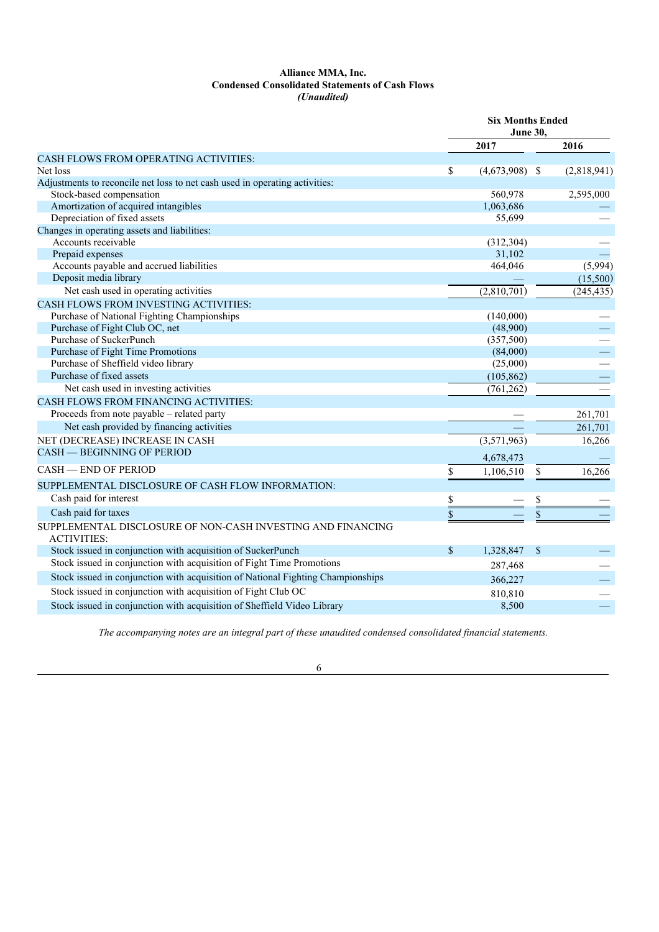## **Alliance MMA, Inc. Condensed Consolidated Statements of Cash Flows** *(Unaudited)*

|                                                                                 | <b>Six Months Ended</b><br>June 30, |                  |              |             |
|---------------------------------------------------------------------------------|-------------------------------------|------------------|--------------|-------------|
|                                                                                 |                                     | 2017             |              | 2016        |
| <b>CASH FLOWS FROM OPERATING ACTIVITIES:</b>                                    |                                     |                  |              |             |
| Net loss                                                                        | \$                                  | $(4,673,908)$ \$ |              | (2,818,941) |
| Adjustments to reconcile net loss to net cash used in operating activities:     |                                     |                  |              |             |
| Stock-based compensation                                                        |                                     | 560,978          |              | 2,595,000   |
| Amortization of acquired intangibles                                            |                                     | 1,063,686        |              |             |
| Depreciation of fixed assets                                                    |                                     | 55,699           |              |             |
| Changes in operating assets and liabilities:                                    |                                     |                  |              |             |
| Accounts receivable                                                             |                                     | (312, 304)       |              |             |
| Prepaid expenses                                                                |                                     | 31,102           |              |             |
| Accounts payable and accrued liabilities                                        |                                     | 464,046          |              | (5,994)     |
| Deposit media library                                                           |                                     |                  |              | (15,500)    |
| Net cash used in operating activities                                           |                                     | (2,810,701)      |              | (245, 435)  |
| CASH FLOWS FROM INVESTING ACTIVITIES:                                           |                                     |                  |              |             |
| Purchase of National Fighting Championships                                     |                                     | (140,000)        |              |             |
| Purchase of Fight Club OC, net                                                  |                                     | (48,900)         |              |             |
| Purchase of SuckerPunch                                                         |                                     | (357,500)        |              |             |
| Purchase of Fight Time Promotions                                               |                                     | (84,000)         |              |             |
| Purchase of Sheffield video library                                             |                                     | (25,000)         |              |             |
| Purchase of fixed assets                                                        |                                     | (105, 862)       |              |             |
| Net cash used in investing activities                                           |                                     | (761, 262)       |              |             |
| CASH FLOWS FROM FINANCING ACTIVITIES:                                           |                                     |                  |              |             |
| Proceeds from note payable - related party                                      |                                     |                  |              | 261,701     |
| Net cash provided by financing activities                                       |                                     |                  |              | 261,701     |
| NET (DECREASE) INCREASE IN CASH                                                 |                                     | (3,571,963)      |              | 16,266      |
| <b>CASH — BEGINNING OF PERIOD</b>                                               |                                     |                  |              |             |
|                                                                                 |                                     | 4,678,473        |              |             |
| CASH - END OF PERIOD                                                            | \$                                  | 1,106,510        | \$           | 16,266      |
| SUPPLEMENTAL DISCLOSURE OF CASH FLOW INFORMATION:                               |                                     |                  |              |             |
| Cash paid for interest                                                          | \$                                  |                  | \$           |             |
| Cash paid for taxes                                                             | \$                                  |                  | \$           |             |
| SUPPLEMENTAL DISCLOSURE OF NON-CASH INVESTING AND FINANCING                     |                                     |                  |              |             |
| <b>ACTIVITIES:</b>                                                              |                                     |                  |              |             |
| Stock issued in conjunction with acquisition of SuckerPunch                     | $\mathbf S$                         | 1,328,847        | $\mathbb{S}$ |             |
| Stock issued in conjunction with acquisition of Fight Time Promotions           |                                     |                  |              |             |
|                                                                                 |                                     | 287,468          |              |             |
| Stock issued in conjunction with acquisition of National Fighting Championships |                                     | 366,227          |              |             |
| Stock issued in conjunction with acquisition of Fight Club OC                   |                                     | 810,810          |              |             |
| Stock issued in conjunction with acquisition of Sheffield Video Library         |                                     | 8,500            |              |             |

*The accompanying notes are an integral part of these unaudited condensed consolidated financial statements.*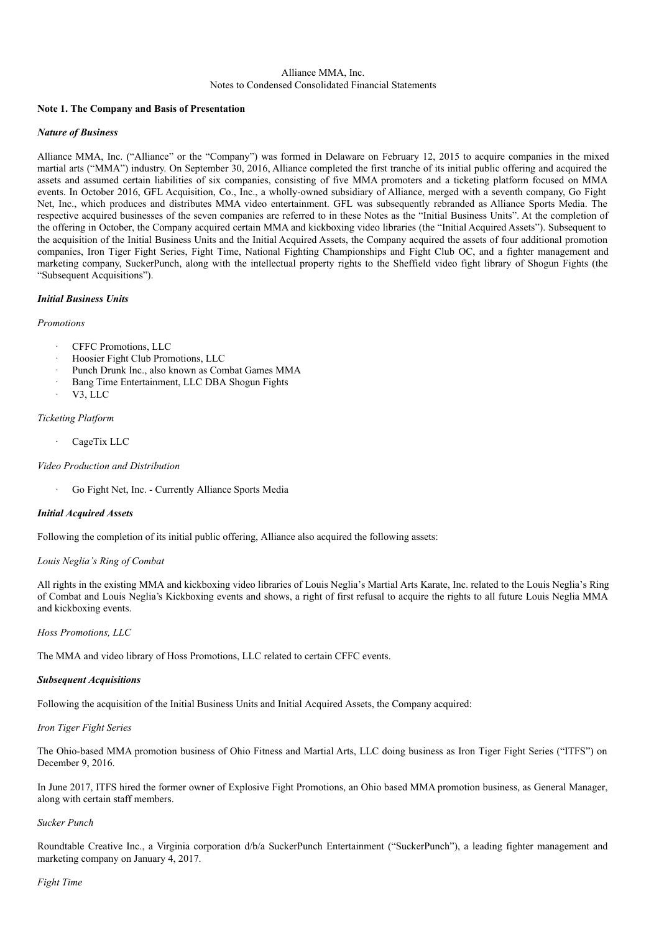## Alliance MMA, Inc. Notes to Condensed Consolidated Financial Statements

## **Note 1. The Company and Basis of Presentation**

## *Nature of Business*

Alliance MMA, Inc. ("Alliance" or the "Company") was formed in Delaware on February 12, 2015 to acquire companies in the mixed martial arts ("MMA") industry. On September 30, 2016, Alliance completed the first tranche of its initial public offering and acquired the assets and assumed certain liabilities of six companies, consisting of five MMA promoters and a ticketing platform focused on MMA events. In October 2016, GFL Acquisition, Co., Inc., a wholly-owned subsidiary of Alliance, merged with a seventh company, Go Fight Net, Inc., which produces and distributes MMA video entertainment. GFL was subsequently rebranded as Alliance Sports Media. The respective acquired businesses of the seven companies are referred to in these Notes as the "Initial Business Units". At the completion of the offering in October, the Company acquired certain MMA and kickboxing video libraries (the "Initial Acquired Assets"). Subsequent to the acquisition of the Initial Business Units and the Initial Acquired Assets, the Company acquired the assets of four additional promotion companies, Iron Tiger Fight Series, Fight Time, National Fighting Championships and Fight Club OC, and a fighter management and marketing company, SuckerPunch, along with the intellectual property rights to the Sheffield video fight library of Shogun Fights (the "Subsequent Acquisitions").

## *Initial Business Units*

#### *Promotions*

- CFFC Promotions, LLC
- Hoosier Fight Club Promotions, LLC
- Punch Drunk Inc., also known as Combat Games MMA
- Bang Time Entertainment, LLC DBA Shogun Fights
- · V3, LLC

#### *Ticketing Platform*

CageTix LLC

#### *Video Production and Distribution*

Go Fight Net, Inc. - Currently Alliance Sports Media

#### *Initial Acquired Assets*

Following the completion of its initial public offering, Alliance also acquired the following assets:

#### *Louis Neglia's Ring of Combat*

All rights in the existing MMA and kickboxing video libraries of Louis Neglia's Martial Arts Karate, Inc. related to the Louis Neglia's Ring of Combat and Louis Neglia's Kickboxing events and shows, a right of first refusal to acquire the rights to all future Louis Neglia MMA and kickboxing events.

## *Hoss Promotions, LLC*

The MMA and video library of Hoss Promotions, LLC related to certain CFFC events.

#### *Subsequent Acquisitions*

Following the acquisition of the Initial Business Units and Initial Acquired Assets, the Company acquired:

## *Iron Tiger Fight Series*

The Ohio-based MMA promotion business of Ohio Fitness and Martial Arts, LLC doing business as Iron Tiger Fight Series ("ITFS") on December 9, 2016.

In June 2017, ITFS hired the former owner of Explosive Fight Promotions, an Ohio based MMA promotion business, as General Manager, along with certain staff members.

#### *Sucker Punch*

Roundtable Creative Inc., a Virginia corporation d/b/a SuckerPunch Entertainment ("SuckerPunch"), a leading fighter management and marketing company on January 4, 2017.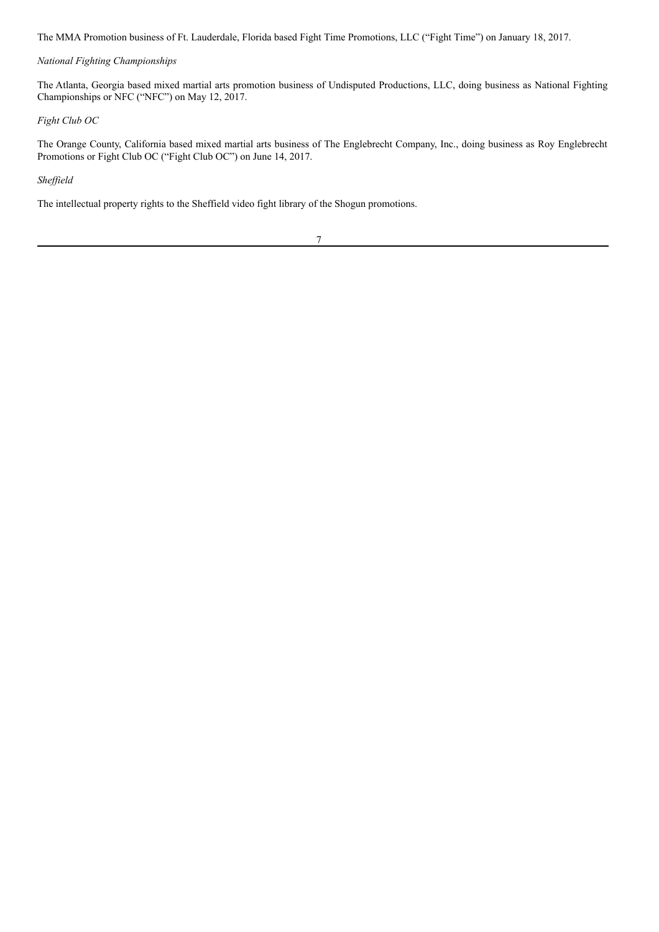The MMA Promotion business of Ft. Lauderdale, Florida based Fight Time Promotions, LLC ("Fight Time") on January 18, 2017.

## *National Fighting Championships*

The Atlanta, Georgia based mixed martial arts promotion business of Undisputed Productions, LLC, doing business as National Fighting Championships or NFC ("NFC") on May 12, 2017.

## *Fight Club OC*

The Orange County, California based mixed martial arts business of The Englebrecht Company, Inc., doing business as Roy Englebrecht Promotions or Fight Club OC ("Fight Club OC") on June 14, 2017.

## *Shef ield*

The intellectual property rights to the Sheffield video fight library of the Shogun promotions.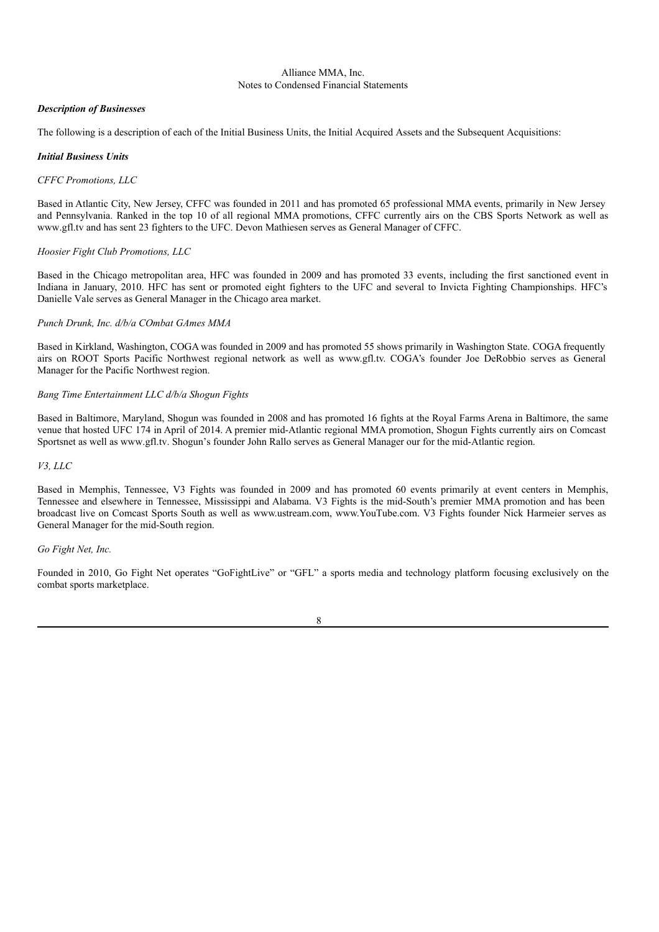## *Description of Businesses*

The following is a description of each of the Initial Business Units, the Initial Acquired Assets and the Subsequent Acquisitions:

## *Initial Business Units*

## *CFFC Promotions, LLC*

Based in Atlantic City, New Jersey, CFFC was founded in 2011 and has promoted 65 professional MMA events, primarily in New Jersey and Pennsylvania. Ranked in the top 10 of all regional MMA promotions, CFFC currently airs on the CBS Sports Network as well as www.gfl.tv and has sent 23 fighters to the UFC. Devon Mathiesen serves as General Manager of CFFC.

## *Hoosier Fight Club Promotions, LLC*

Based in the Chicago metropolitan area, HFC was founded in 2009 and has promoted 33 events, including the first sanctioned event in Indiana in January, 2010. HFC has sent or promoted eight fighters to the UFC and several to Invicta Fighting Championships. HFC's Danielle Vale serves as General Manager in the Chicago area market.

## *Punch Drunk, Inc. d/b/a COmbat GAmes MMA*

Based in Kirkland, Washington, COGA was founded in 2009 and has promoted 55 shows primarily in Washington State. COGA frequently airs on ROOT Sports Pacific Northwest regional network as well as www.gfl.tv. COGA's founder Joe DeRobbio serves as General Manager for the Pacific Northwest region.

## *Bang Time Entertainment LLC d/b/a Shogun Fights*

Based in Baltimore, Maryland, Shogun was founded in 2008 and has promoted 16 fights at the Royal Farms Arena in Baltimore, the same venue that hosted UFC 174 in April of 2014. A premier mid-Atlantic regional MMA promotion, Shogun Fights currently airs on Comcast Sportsnet as well as www.gfl.tv. Shogun's founder John Rallo serves as General Manager our for the mid-Atlantic region.

#### *V3, LLC*

Based in Memphis, Tennessee, V3 Fights was founded in 2009 and has promoted 60 events primarily at event centers in Memphis, Tennessee and elsewhere in Tennessee, Mississippi and Alabama. V3 Fights is the mid-South's premier MMA promotion and has been broadcast live on Comcast Sports South as well as www.ustream.com, www.YouTube.com. V3 Fights founder Nick Harmeier serves as General Manager for the mid-South region.

## *Go Fight Net, Inc.*

Founded in 2010, Go Fight Net operates "GoFightLive" or "GFL" a sports media and technology platform focusing exclusively on the combat sports marketplace.

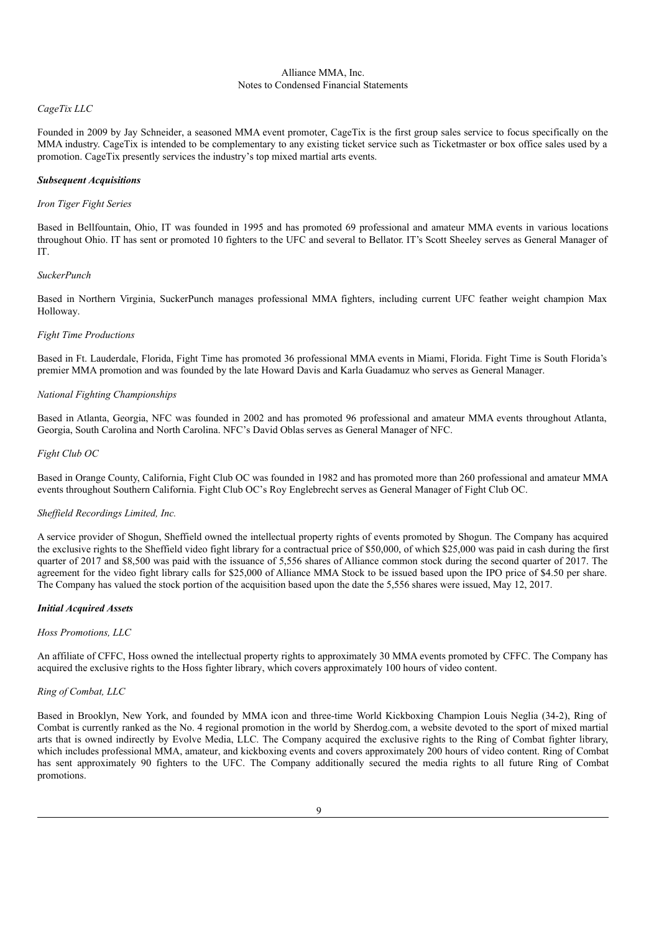#### *CageTix LLC*

Founded in 2009 by Jay Schneider, a seasoned MMA event promoter, CageTix is the first group sales service to focus specifically on the MMA industry. CageTix is intended to be complementary to any existing ticket service such as Ticketmaster or box office sales used by a promotion. CageTix presently services the industry's top mixed martial arts events.

#### *Subsequent Acquisitions*

## *Iron Tiger Fight Series*

Based in Bellfountain, Ohio, IT was founded in 1995 and has promoted 69 professional and amateur MMA events in various locations throughout Ohio. IT has sent or promoted 10 fighters to the UFC and several to Bellator. IT's Scott Sheeley serves as General Manager of IT.

#### *SuckerPunch*

Based in Northern Virginia, SuckerPunch manages professional MMA fighters, including current UFC feather weight champion Max Holloway.

## *Fight Time Productions*

Based in Ft. Lauderdale, Florida, Fight Time has promoted 36 professional MMA events in Miami, Florida. Fight Time is South Florida's premier MMA promotion and was founded by the late Howard Davis and Karla Guadamuz who serves as General Manager.

## *National Fighting Championships*

Based in Atlanta, Georgia, NFC was founded in 2002 and has promoted 96 professional and amateur MMA events throughout Atlanta, Georgia, South Carolina and North Carolina. NFC's David Oblas serves as General Manager of NFC.

## *Fight Club OC*

Based in Orange County, California, Fight Club OC was founded in 1982 and has promoted more than 260 professional and amateur MMA events throughout Southern California. Fight Club OC's Roy Englebrecht serves as General Manager of Fight Club OC.

#### *Shef ield Recordings Limited, Inc.*

A service provider of Shogun, Sheffield owned the intellectual property rights of events promoted by Shogun. The Company has acquired the exclusive rights to the Sheffield video fight library for a contractual price of \$50,000, of which \$25,000 was paid in cash during the first quarter of 2017 and \$8,500 was paid with the issuance of 5,556 shares of Alliance common stock during the second quarter of 2017. The agreement for the video fight library calls for \$25,000 of Alliance MMA Stock to be issued based upon the IPO price of \$4.50 per share. The Company has valued the stock portion of the acquisition based upon the date the 5,556 shares were issued, May 12, 2017.

#### *Initial Acquired Assets*

## *Hoss Promotions, LLC*

An affiliate of CFFC, Hoss owned the intellectual property rights to approximately 30 MMA events promoted by CFFC. The Company has acquired the exclusive rights to the Hoss fighter library, which covers approximately 100 hours of video content.

## *Ring of Combat, LLC*

Based in Brooklyn, New York, and founded by MMA icon and three-time World Kickboxing Champion Louis Neglia (34-2), Ring of Combat is currently ranked as the No. 4 regional promotion in the world by Sherdog.com, a website devoted to the sport of mixed martial arts that is owned indirectly by Evolve Media, LLC. The Company acquired the exclusive rights to the Ring of Combat fighter library, which includes professional MMA, amateur, and kickboxing events and covers approximately 200 hours of video content. Ring of Combat has sent approximately 90 fighters to the UFC. The Company additionally secured the media rights to all future Ring of Combat promotions.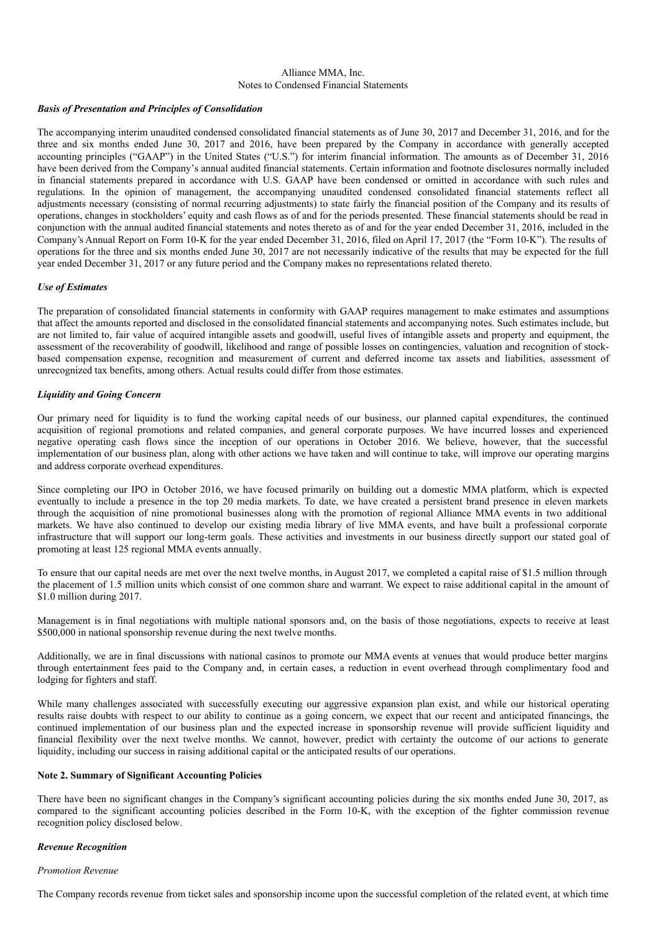#### *Basis of Presentation and Principles of Consolidation*

The accompanying interim unaudited condensed consolidated financial statements as of June 30, 2017 and December 31, 2016, and for the three and six months ended June 30, 2017 and 2016, have been prepared by the Company in accordance with generally accepted accounting principles ("GAAP") in the United States ("U.S.") for interim financial information. The amounts as of December 31, 2016 have been derived from the Company's annual audited financial statements. Certain information and footnote disclosures normally included in financial statements prepared in accordance with U.S. GAAP have been condensed or omitted in accordance with such rules and regulations. In the opinion of management, the accompanying unaudited condensed consolidated financial statements reflect all adjustments necessary (consisting of normal recurring adjustments) to state fairly the financial position of the Company and its results of operations, changes in stockholders' equity and cash flows as of and for the periods presented. These financial statements should be read in conjunction with the annual audited financial statements and notes thereto as of and for the year ended December 31, 2016, included in the Company's Annual Report on Form 10-K for the year ended December 31, 2016, filed on April 17, 2017 (the "Form 10-K"). The results of operations for the three and six months ended June 30, 2017 are not necessarily indicative of the results that may be expected for the full year ended December 31, 2017 or any future period and the Company makes no representations related thereto.

#### *Use of Estimates*

The preparation of consolidated financial statements in conformity with GAAP requires management to make estimates and assumptions that affect the amounts reported and disclosed in the consolidated financial statements and accompanying notes. Such estimates include, but are not limited to, fair value of acquired intangible assets and goodwill, useful lives of intangible assets and property and equipment, the assessment of the recoverability of goodwill, likelihood and range of possible losses on contingencies, valuation and recognition of stockbased compensation expense, recognition and measurement of current and deferred income tax assets and liabilities, assessment of unrecognized tax benefits, among others. Actual results could differ from those estimates.

#### *Liquidity and Going Concern*

Our primary need for liquidity is to fund the working capital needs of our business, our planned capital expenditures, the continued acquisition of regional promotions and related companies, and general corporate purposes. We have incurred losses and experienced negative operating cash flows since the inception of our operations in October 2016. We believe, however, that the successful implementation of our business plan, along with other actions we have taken and will continue to take, will improve our operating margins and address corporate overhead expenditures.

Since completing our IPO in October 2016, we have focused primarily on building out a domestic MMA platform, which is expected eventually to include a presence in the top 20 media markets. To date, we have created a persistent brand presence in eleven markets through the acquisition of nine promotional businesses along with the promotion of regional Alliance MMA events in two additional markets. We have also continued to develop our existing media library of live MMA events, and have built a professional corporate infrastructure that will support our long-term goals. These activities and investments in our business directly support our stated goal of promoting at least 125 regional MMA events annually.

To ensure that our capital needs are met over the next twelve months, in August 2017, we completed a capital raise of \$1.5 million through the placement of 1.5 million units which consist of one common share and warrant. We expect to raise additional capital in the amount of \$1.0 million during 2017.

Management is in final negotiations with multiple national sponsors and, on the basis of those negotiations, expects to receive at least \$500,000 in national sponsorship revenue during the next twelve months.

Additionally, we are in final discussions with national casinos to promote our MMA events at venues that would produce better margins through entertainment fees paid to the Company and, in certain cases, a reduction in event overhead through complimentary food and lodging for fighters and staff.

While many challenges associated with successfully executing our aggressive expansion plan exist, and while our historical operating results raise doubts with respect to our ability to continue as a going concern, we expect that our recent and anticipated financings, the continued implementation of our business plan and the expected increase in sponsorship revenue will provide sufficient liquidity and financial flexibility over the next twelve months. We cannot, however, predict with certainty the outcome of our actions to generate liquidity, including our success in raising additional capital or the anticipated results of our operations.

## **Note 2. Summary of Significant Accounting Policies**

There have been no significant changes in the Company's significant accounting policies during the six months ended June 30, 2017, as compared to the significant accounting policies described in the Form 10-K, with the exception of the fighter commission revenue recognition policy disclosed below.

#### *Revenue Recognition*

#### *Promotion Revenue*

The Company records revenue from ticket sales and sponsorship income upon the successful completion of the related event, at which time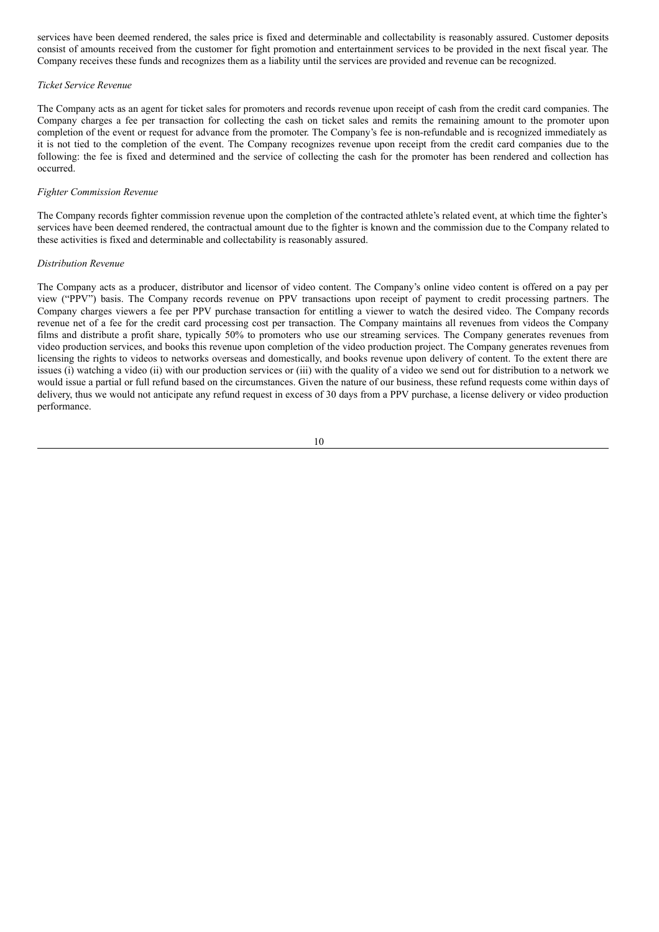services have been deemed rendered, the sales price is fixed and determinable and collectability is reasonably assured. Customer deposits consist of amounts received from the customer for fight promotion and entertainment services to be provided in the next fiscal year. The Company receives these funds and recognizes them as a liability until the services are provided and revenue can be recognized.

#### *Ticket Service Revenue*

The Company acts as an agent for ticket sales for promoters and records revenue upon receipt of cash from the credit card companies. The Company charges a fee per transaction for collecting the cash on ticket sales and remits the remaining amount to the promoter upon completion of the event or request for advance from the promoter. The Company's fee is non-refundable and is recognized immediately as it is not tied to the completion of the event. The Company recognizes revenue upon receipt from the credit card companies due to the following: the fee is fixed and determined and the service of collecting the cash for the promoter has been rendered and collection has occurred.

#### *Fighter Commission Revenue*

The Company records fighter commission revenue upon the completion of the contracted athlete's related event, at which time the fighter's services have been deemed rendered, the contractual amount due to the fighter is known and the commission due to the Company related to these activities is fixed and determinable and collectability is reasonably assured.

#### *Distribution Revenue*

The Company acts as a producer, distributor and licensor of video content. The Company's online video content is offered on a pay per view ("PPV") basis. The Company records revenue on PPV transactions upon receipt of payment to credit processing partners. The Company charges viewers a fee per PPV purchase transaction for entitling a viewer to watch the desired video. The Company records revenue net of a fee for the credit card processing cost per transaction. The Company maintains all revenues from videos the Company films and distribute a profit share, typically 50% to promoters who use our streaming services. The Company generates revenues from video production services, and books this revenue upon completion of the video production project. The Company generates revenues from licensing the rights to videos to networks overseas and domestically, and books revenue upon delivery of content. To the extent there are issues (i) watching a video (ii) with our production services or (iii) with the quality of a video we send out for distribution to a network we would issue a partial or full refund based on the circumstances. Given the nature of our business, these refund requests come within days of delivery, thus we would not anticipate any refund request in excess of 30 days from a PPV purchase, a license delivery or video production performance.

$$
10\quad
$$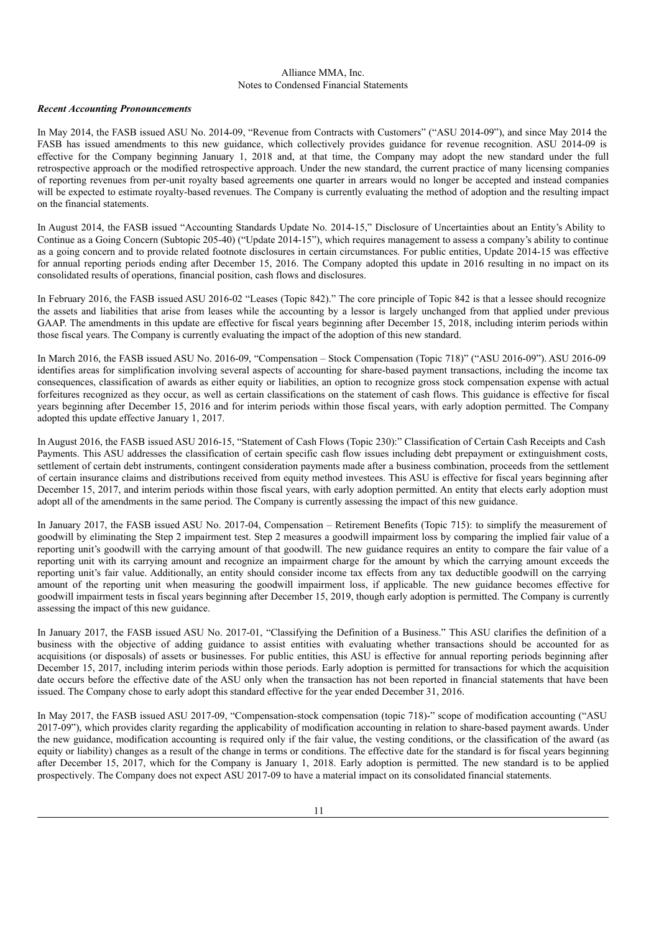#### *Recent Accounting Pronouncements*

In May 2014, the FASB issued ASU No. 2014-09, "Revenue from Contracts with Customers" ("ASU 2014-09"), and since May 2014 the FASB has issued amendments to this new guidance, which collectively provides guidance for revenue recognition. ASU 2014-09 is effective for the Company beginning January 1, 2018 and, at that time, the Company may adopt the new standard under the full retrospective approach or the modified retrospective approach. Under the new standard, the current practice of many licensing companies of reporting revenues from per-unit royalty based agreements one quarter in arrears would no longer be accepted and instead companies will be expected to estimate royalty-based revenues. The Company is currently evaluating the method of adoption and the resulting impact on the financial statements.

In August 2014, the FASB issued "Accounting Standards Update No. 2014-15," Disclosure of Uncertainties about an Entity's Ability to Continue as a Going Concern (Subtopic 205-40) ("Update 2014-15"), which requires management to assess a company's ability to continue as a going concern and to provide related footnote disclosures in certain circumstances. For public entities, Update 2014-15 was effective for annual reporting periods ending after December 15, 2016. The Company adopted this update in 2016 resulting in no impact on its consolidated results of operations, financial position, cash flows and disclosures.

In February 2016, the FASB issued ASU 2016-02 "Leases (Topic 842)." The core principle of Topic 842 is that a lessee should recognize the assets and liabilities that arise from leases while the accounting by a lessor is largely unchanged from that applied under previous GAAP. The amendments in this update are effective for fiscal years beginning after December 15, 2018, including interim periods within those fiscal years. The Company is currently evaluating the impact of the adoption of this new standard.

In March 2016, the FASB issued ASU No. 2016-09, "Compensation – Stock Compensation (Topic 718)" ("ASU 2016-09"). ASU 2016-09 identifies areas for simplification involving several aspects of accounting for share-based payment transactions, including the income tax consequences, classification of awards as either equity or liabilities, an option to recognize gross stock compensation expense with actual forfeitures recognized as they occur, as well as certain classifications on the statement of cash flows. This guidance is effective for fiscal years beginning after December 15, 2016 and for interim periods within those fiscal years, with early adoption permitted. The Company adopted this update effective January 1, 2017.

In August 2016, the FASB issued ASU 2016-15, "Statement of Cash Flows (Topic 230):" Classification of Certain Cash Receipts and Cash Payments. This ASU addresses the classification of certain specific cash flow issues including debt prepayment or extinguishment costs, settlement of certain debt instruments, contingent consideration payments made after a business combination, proceeds from the settlement of certain insurance claims and distributions received from equity method investees. This ASU is effective for fiscal years beginning after December 15, 2017, and interim periods within those fiscal years, with early adoption permitted. An entity that elects early adoption must adopt all of the amendments in the same period. The Company is currently assessing the impact of this new guidance.

In January 2017, the FASB issued ASU No. 2017-04, Compensation – Retirement Benefits (Topic 715): to simplify the measurement of goodwill by eliminating the Step 2 impairment test. Step 2 measures a goodwill impairment loss by comparing the implied fair value of a reporting unit's goodwill with the carrying amount of that goodwill. The new guidance requires an entity to compare the fair value of a reporting unit with its carrying amount and recognize an impairment charge for the amount by which the carrying amount exceeds the reporting unit's fair value. Additionally, an entity should consider income tax effects from any tax deductible goodwill on the carrying amount of the reporting unit when measuring the goodwill impairment loss, if applicable. The new guidance becomes effective for goodwill impairment tests in fiscal years beginning after December 15, 2019, though early adoption is permitted. The Company is currently assessing the impact of this new guidance.

In January 2017, the FASB issued ASU No. 2017-01, "Classifying the Definition of a Business." This ASU clarifies the definition of a business with the objective of adding guidance to assist entities with evaluating whether transactions should be accounted for as acquisitions (or disposals) of assets or businesses. For public entities, this ASU is effective for annual reporting periods beginning after December 15, 2017, including interim periods within those periods. Early adoption is permitted for transactions for which the acquisition date occurs before the effective date of the ASU only when the transaction has not been reported in financial statements that have been issued. The Company chose to early adopt this standard effective for the year ended December 31, 2016.

In May 2017, the FASB issued ASU 2017-09, "Compensation-stock compensation (topic 718)-" scope of modification accounting ("ASU 2017-09"), which provides clarity regarding the applicability of modification accounting in relation to share-based payment awards. Under the new guidance, modification accounting is required only if the fair value, the vesting conditions, or the classification of the award (as equity or liability) changes as a result of the change in terms or conditions. The effective date for the standard is for fiscal years beginning after December 15, 2017, which for the Company is January 1, 2018. Early adoption is permitted. The new standard is to be applied prospectively. The Company does not expect ASU 2017-09 to have a material impact on its consolidated financial statements.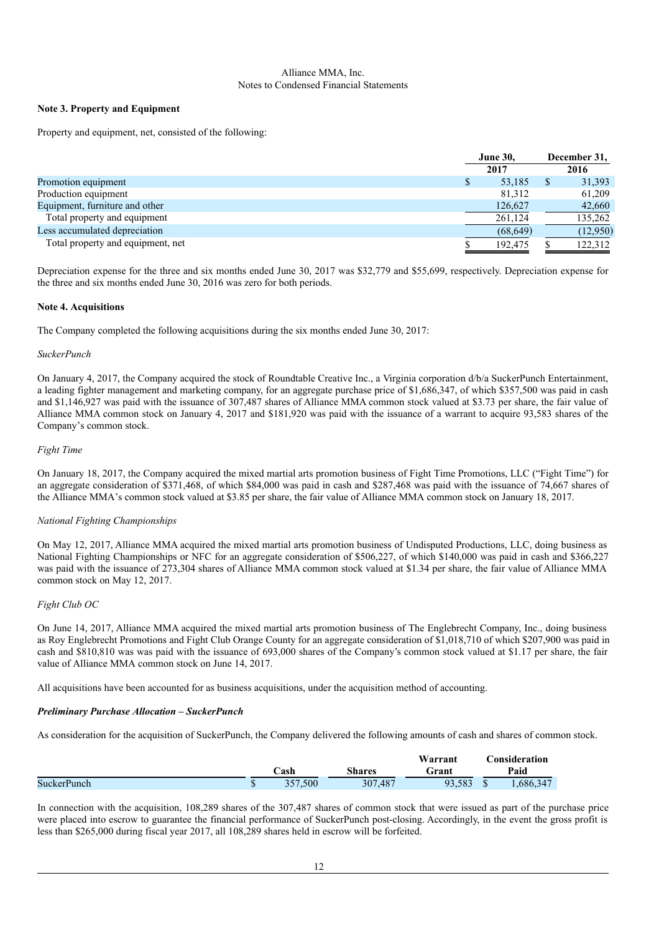## **Note 3. Property and Equipment**

Property and equipment, net, consisted of the following:

|                                   |   | <b>June 30,</b> | December 31. |          |
|-----------------------------------|---|-----------------|--------------|----------|
|                                   |   | 2017            |              | 2016     |
| Promotion equipment               | S | 53,185          |              | 31,393   |
| Production equipment              |   | 81,312          |              | 61,209   |
| Equipment, furniture and other    |   | 126,627         |              | 42,660   |
| Total property and equipment      |   | 261.124         |              | 135,262  |
| Less accumulated depreciation     |   | (68, 649)       |              | (12,950) |
| Total property and equipment, net |   | 192,475         |              | 122.312  |

Depreciation expense for the three and six months ended June 30, 2017 was \$32,779 and \$55,699, respectively. Depreciation expense for the three and six months ended June 30, 2016 was zero for both periods.

## **Note 4. Acquisitions**

The Company completed the following acquisitions during the six months ended June 30, 2017:

#### *SuckerPunch*

On January 4, 2017, the Company acquired the stock of Roundtable Creative Inc., a Virginia corporation d/b/a SuckerPunch Entertainment, a leading fighter management and marketing company, for an aggregate purchase price of \$1,686,347, of which \$357,500 was paid in cash and \$1,146,927 was paid with the issuance of 307,487 shares of Alliance MMA common stock valued at \$3.73 per share, the fair value of Alliance MMA common stock on January 4, 2017 and \$181,920 was paid with the issuance of a warrant to acquire 93,583 shares of the Company's common stock.

#### *Fight Time*

On January 18, 2017, the Company acquired the mixed martial arts promotion business of Fight Time Promotions, LLC ("Fight Time") for an aggregate consideration of \$371,468, of which \$84,000 was paid in cash and \$287,468 was paid with the issuance of 74,667 shares of the Alliance MMA's common stock valued at \$3.85 per share, the fair value of Alliance MMA common stock on January 18, 2017.

## *National Fighting Championships*

On May 12, 2017, Alliance MMA acquired the mixed martial arts promotion business of Undisputed Productions, LLC, doing business as National Fighting Championships or NFC for an aggregate consideration of \$506,227, of which \$140,000 was paid in cash and \$366,227 was paid with the issuance of 273,304 shares of Alliance MMA common stock valued at \$1.34 per share, the fair value of Alliance MMA common stock on May 12, 2017.

## *Fight Club OC*

On June 14, 2017, Alliance MMA acquired the mixed martial arts promotion business of The Englebrecht Company, Inc., doing business as Roy Englebrecht Promotions and Fight Club Orange County for an aggregate consideration of \$1,018,710 of which \$207,900 was paid in cash and \$810,810 was was paid with the issuance of 693,000 shares of the Company's common stock valued at \$1.17 per share, the fair value of Alliance MMA common stock on June 14, 2017.

All acquisitions have been accounted for as business acquisitions, under the acquisition method of accounting.

## *Preliminary Purchase Allocation – SuckerPunch*

As consideration for the acquisition of SuckerPunch, the Company delivered the following amounts of cash and shares of common stock.

|                    |         |               | Warram |   | Consideration |
|--------------------|---------|---------------|--------|---|---------------|
|                    | `ash    | <b>Shares</b> | Frant  |   | Paid          |
| <b>SuckerPunch</b> | 357,500 | 307,487       | 93.583 | ω | .686,347      |

In connection with the acquisition, 108,289 shares of the 307,487 shares of common stock that were issued as part of the purchase price were placed into escrow to guarantee the financial performance of SuckerPunch post-closing. Accordingly, in the event the gross profit is less than \$265,000 during fiscal year 2017, all 108,289 shares held in escrow will be forfeited.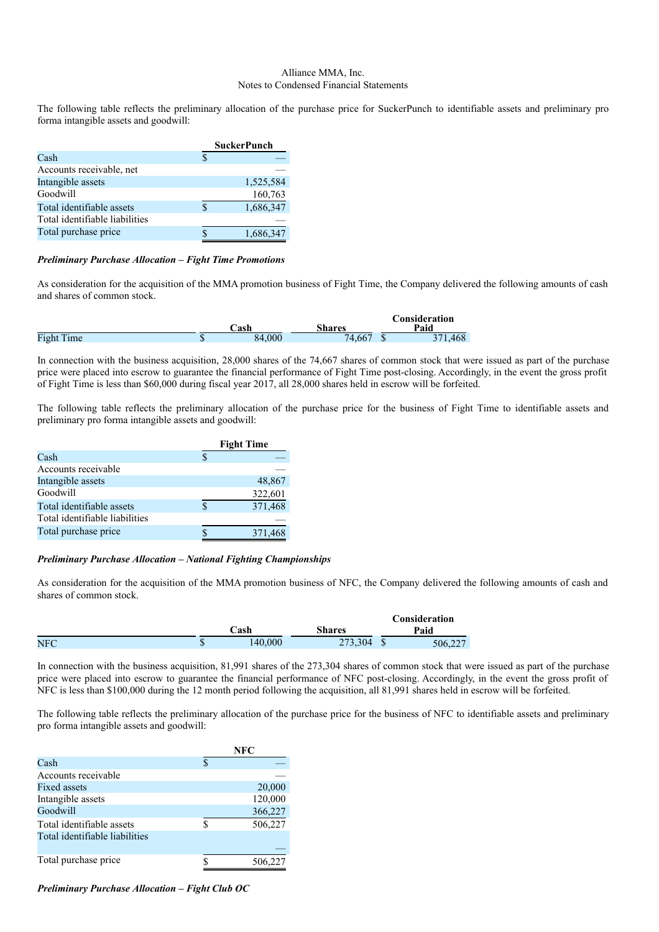The following table reflects the preliminary allocation of the purchase price for SuckerPunch to identifiable assets and preliminary pro forma intangible assets and goodwill:

|                                |   | <b>SuckerPunch</b> |
|--------------------------------|---|--------------------|
| Cash                           | ς |                    |
| Accounts receivable, net       |   |                    |
| Intangible assets              |   | 1,525,584          |
| Goodwill                       |   | 160,763            |
| Total identifiable assets      |   | 1,686,347          |
| Total identifiable liabilities |   |                    |
| Total purchase price           |   | 1,686,347          |
|                                |   |                    |

## *Preliminary Purchase Allocation – Fight Time Promotions*

As consideration for the acquisition of the MMA promotion business of Fight Time, the Company delivered the following amounts of cash and shares of common stock.

|            |        |        |   | Consideration |
|------------|--------|--------|---|---------------|
|            | Cash   | Shares |   | Paid          |
| Fight Time | 84,000 | 74.667 | D | 371.468       |

In connection with the business acquisition, 28,000 shares of the 74,667 shares of common stock that were issued as part of the purchase price were placed into escrow to guarantee the financial performance of Fight Time post-closing. Accordingly, in the event the gross profit of Fight Time is less than \$60,000 during fiscal year 2017, all 28,000 shares held in escrow will be forfeited.

The following table reflects the preliminary allocation of the purchase price for the business of Fight Time to identifiable assets and preliminary pro forma intangible assets and goodwill:

|                                |   | <b>Fight Time</b> |
|--------------------------------|---|-------------------|
| Cash                           |   |                   |
| Accounts receivable            |   |                   |
| Intangible assets              |   | 48,867            |
| Goodwill                       |   | 322,601           |
| Total identifiable assets      |   | 371,468           |
| Total identifiable liabilities |   |                   |
| Total purchase price           | ς | 371,468           |

## *Preliminary Purchase Allocation – National Fighting Championships*

As consideration for the acquisition of the MMA promotion business of NFC, the Company delivered the following amounts of cash and shares of common stock.

|            |    |         |               | <b>Consideration</b> |
|------------|----|---------|---------------|----------------------|
|            |    | Cash    | <b>Shares</b> | Paid                 |
| <b>NFC</b> | ۰D | 140,000 | 273,304       | 506.227              |

In connection with the business acquisition, 81,991 shares of the 273,304 shares of common stock that were issued as part of the purchase price were placed into escrow to guarantee the financial performance of NFC post-closing. Accordingly, in the event the gross profit of NFC is less than \$100,000 during the 12 month period following the acquisition, all 81,991 shares held in escrow will be forfeited.

The following table reflects the preliminary allocation of the purchase price for the business of NFC to identifiable assets and preliminary pro forma intangible assets and goodwill:

|                                |   | NFC     |
|--------------------------------|---|---------|
| Cash                           | S |         |
| Accounts receivable            |   |         |
| <b>Fixed assets</b>            |   | 20,000  |
| Intangible assets              |   | 120,000 |
| Goodwill                       |   | 366,227 |
| Total identifiable assets      | S | 506,227 |
| Total identifiable liabilities |   |         |
| Total purchase price           |   |         |

*Preliminary Purchase Allocation – Fight Club OC*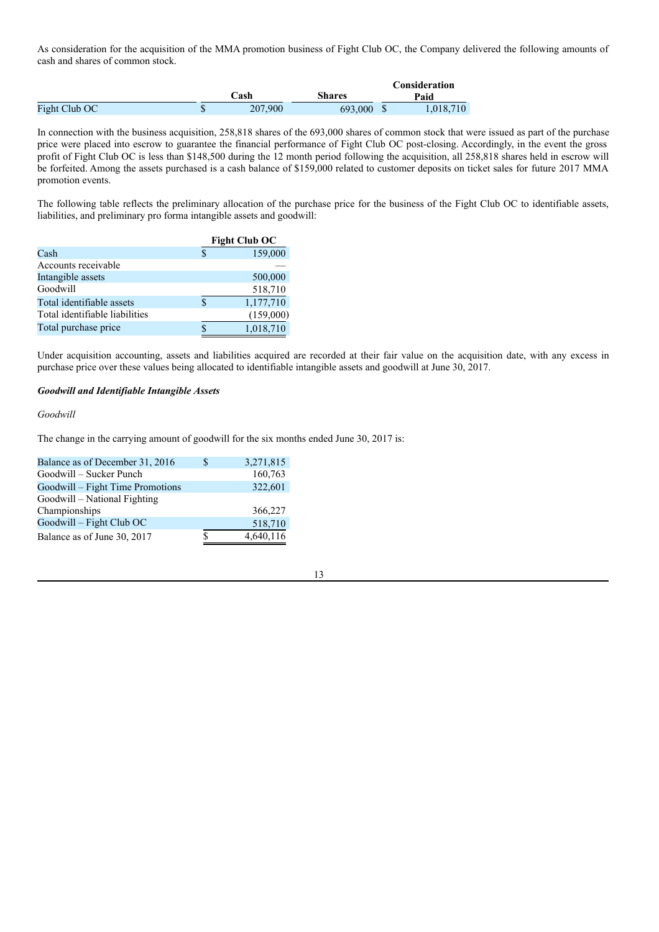As consideration for the acquisition of the MMA promotion business of Fight Club OC, the Company delivered the following amounts of cash and shares of common stock.

|               |         |         | <b>Consideration</b> |
|---------------|---------|---------|----------------------|
|               | Cash    | Shares  | Paid                 |
| Fight Club OC | 207,900 | 693,000 | 1.018.710            |

In connection with the business acquisition, 258,818 shares of the 693,000 shares of common stock that were issued as part of the purchase price were placed into escrow to guarantee the financial performance of Fight Club OC post-closing. Accordingly, in the event the gross profit of Fight Club OC is less than \$148,500 during the 12 month period following the acquisition, all 258,818 shares held in escrow will be forfeited. Among the assets purchased is a cash balance of \$159,000 related to customer deposits on ticket sales for future 2017 MMA promotion events.

The following table reflects the preliminary allocation of the purchase price for the business of the Fight Club OC to identifiable assets, liabilities, and preliminary pro forma intangible assets and goodwill:

|                                |   | <b>Fight Club OC</b> |
|--------------------------------|---|----------------------|
| Cash                           |   | 159,000              |
| Accounts receivable            |   |                      |
| Intangible assets              |   | 500,000              |
| Goodwill                       |   | 518,710              |
| Total identifiable assets      | S | 1,177,710            |
| Total identifiable liabilities |   | (159,000)            |
| Total purchase price           |   | 1,018,710            |

Under acquisition accounting, assets and liabilities acquired are recorded at their fair value on the acquisition date, with any excess in purchase price over these values being allocated to identifiable intangible assets and goodwill at June 30, 2017.

## *Goodwill and Identifiable Intangible Assets*

## *Goodwill*

The change in the carrying amount of goodwill for the six months ended June 30, 2017 is:

| Balance as of December 31, 2016  | 3,271,815 |
|----------------------------------|-----------|
| Goodwill – Sucker Punch          | 160,763   |
| Goodwill – Fight Time Promotions | 322,601   |
| Goodwill – National Fighting     |           |
| Championships                    | 366,227   |
| Goodwill – Fight Club OC         | 518,710   |
| Balance as of June 30, 2017      | 4,640,116 |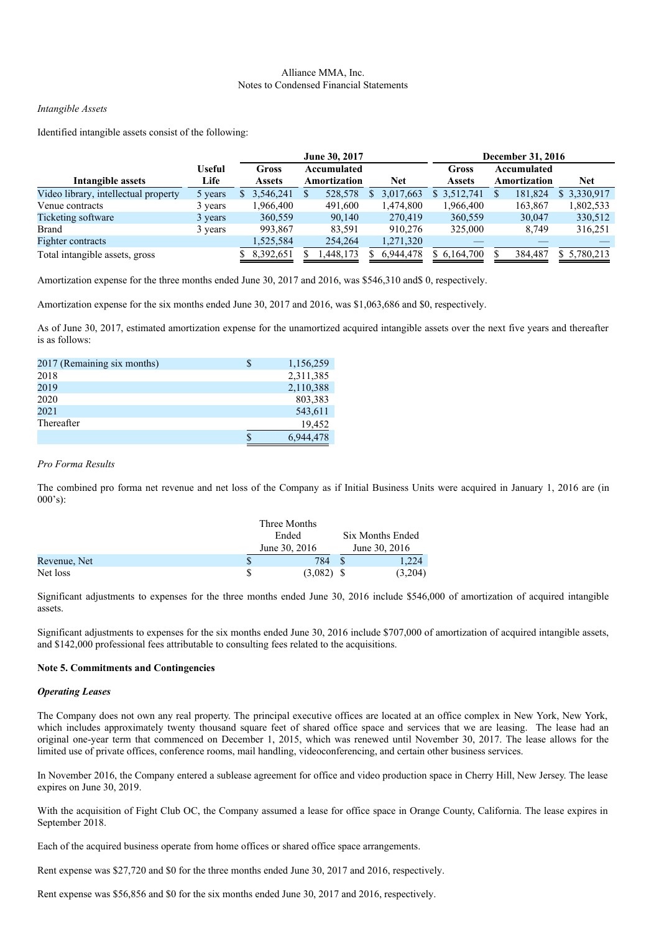#### *Intangible Assets*

Identified intangible assets consist of the following:

|                                      |                       | June 30, 2017          |  |                             |   |            | December 31, 2016             |  |                             |  |             |
|--------------------------------------|-----------------------|------------------------|--|-----------------------------|---|------------|-------------------------------|--|-----------------------------|--|-------------|
| Intangible assets                    | <b>Useful</b><br>Life | Gross<br><b>Assets</b> |  | Accumulated<br>Amortization |   | <b>Net</b> | <b>Gross</b><br><b>Assets</b> |  | Accumulated<br>Amortization |  | <b>Net</b>  |
| Video library, intellectual property | 5 years               | 3,546,241              |  | 528,578                     | S | 3,017,663  | \$3,512,741                   |  | 181,824                     |  | \$3,330,917 |
| Venue contracts                      | 3 years               | 1,966,400              |  | 491,600                     |   | 1,474,800  | 1,966,400                     |  | 163,867                     |  | 1,802,533   |
| Ticketing software                   | 3 years               | 360,559                |  | 90,140                      |   | 270.419    | 360,559                       |  | 30,047                      |  | 330,512     |
| <b>Brand</b>                         | 3 years               | 993,867                |  | 83,591                      |   | 910,276    | 325,000                       |  | 8.749                       |  | 316,251     |
| Fighter contracts                    |                       | .525,584               |  | 254,264                     |   | 1,271,320  |                               |  |                             |  |             |
| Total intangible assets, gross       |                       | 8,392,651              |  | 1,448,173                   |   | 6,944,478  | \$ 6,164,700                  |  | 384.487                     |  | \$5,780,213 |

Amortization expense for the three months ended June 30, 2017 and 2016, was \$546,310 and\$ 0, respectively.

Amortization expense for the six months ended June 30, 2017 and 2016, was \$1,063,686 and \$0, respectively.

As of June 30, 2017, estimated amortization expense for the unamortized acquired intangible assets over the next five years and thereafter is as follows:

| 2017 (Remaining six months) | S | 1,156,259 |
|-----------------------------|---|-----------|
| 2018                        |   | 2,311,385 |
| 2019                        |   | 2,110,388 |
| 2020                        |   | 803.383   |
| 2021                        |   | 543,611   |
| Thereafter                  |   | 19,452    |
|                             | S | 6,944,478 |

#### *Pro Forma Results*

The combined pro forma net revenue and net loss of the Company as if Initial Business Units were acquired in January 1, 2016 are (in  $000's$ :

|              |   | Three Months  |  |                  |  |  |
|--------------|---|---------------|--|------------------|--|--|
|              |   | Ended         |  | Six Months Ended |  |  |
|              |   | June 30, 2016 |  | June 30, 2016    |  |  |
| Revenue, Net |   | 784           |  | 1.224            |  |  |
| Net loss     | S | $(3.082)$ \$  |  | (3,204)          |  |  |

Significant adjustments to expenses for the three months ended June 30, 2016 include \$546,000 of amortization of acquired intangible assets.

Significant adjustments to expenses for the six months ended June 30, 2016 include \$707,000 of amortization of acquired intangible assets, and \$142,000 professional fees attributable to consulting fees related to the acquisitions.

## **Note 5. Commitments and Contingencies**

#### *Operating Leases*

The Company does not own any real property. The principal executive offices are located at an office complex in New York, New York, which includes approximately twenty thousand square feet of shared office space and services that we are leasing. The lease had an original one-year term that commenced on December 1, 2015, which was renewed until November 30, 2017. The lease allows for the limited use of private offices, conference rooms, mail handling, videoconferencing, and certain other business services.

In November 2016, the Company entered a sublease agreement for office and video production space in Cherry Hill, New Jersey. The lease expires on June 30, 2019.

With the acquisition of Fight Club OC, the Company assumed a lease for office space in Orange County, California. The lease expires in September 2018.

Each of the acquired business operate from home offices or shared office space arrangements.

Rent expense was \$27,720 and \$0 for the three months ended June 30, 2017 and 2016, respectively.

Rent expense was \$56,856 and \$0 for the six months ended June 30, 2017 and 2016, respectively.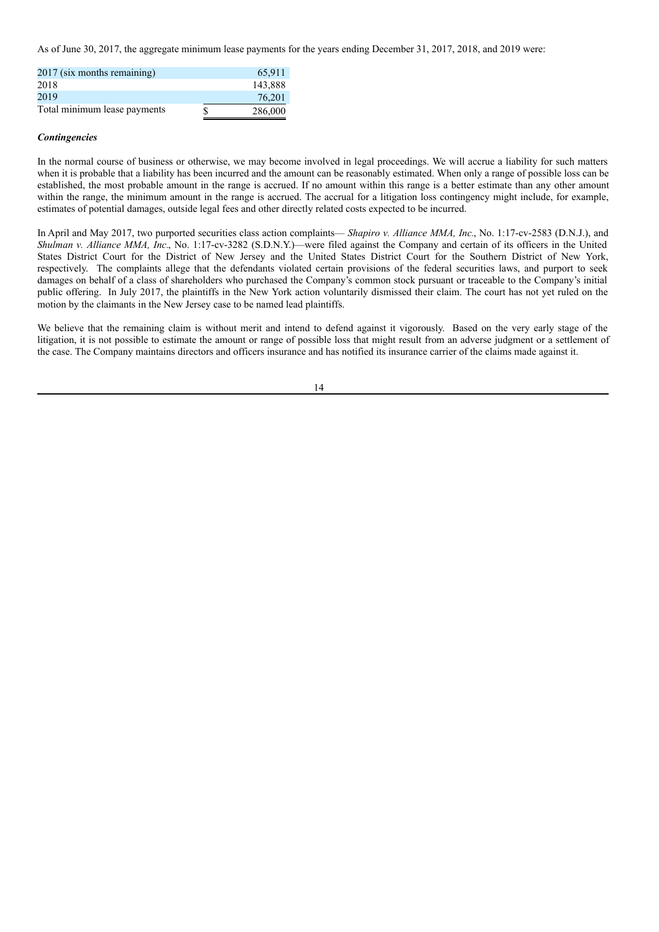As of June 30, 2017, the aggregate minimum lease payments for the years ending December 31, 2017, 2018, and 2019 were:

| 2017 (six months remaining)  |   | 65.911  |
|------------------------------|---|---------|
| 2018                         |   | 143.888 |
| 2019                         |   | 76.201  |
| Total minimum lease payments | S | 286,000 |

#### *Contingencies*

In the normal course of business or otherwise, we may become involved in legal proceedings. We will accrue a liability for such matters when it is probable that a liability has been incurred and the amount can be reasonably estimated. When only a range of possible loss can be established, the most probable amount in the range is accrued. If no amount within this range is a better estimate than any other amount within the range, the minimum amount in the range is accrued. The accrual for a litigation loss contingency might include, for example, estimates of potential damages, outside legal fees and other directly related costs expected to be incurred.

In April and May 2017, two purported securities class action complaints— *Shapiro v. Alliance MMA, Inc.*, No. 1:17-cv-2583 (D.N.J.), and *Shulman v. Alliance MMA, Inc.*, No. 1:17-cv-3282 (S.D.N.Y.)—were filed against the Company and certain of its officers in the United States District Court for the District of New Jersey and the United States District Court for the Southern District of New York, respectively. The complaints allege that the defendants violated certain provisions of the federal securities laws, and purport to seek damages on behalf of a class of shareholders who purchased the Company's common stock pursuant or traceable to the Company's initial public offering. In July 2017, the plaintiffs in the New York action voluntarily dismissed their claim. The court has not yet ruled on the motion by the claimants in the New Jersey case to be named lead plaintiffs.

We believe that the remaining claim is without merit and intend to defend against it vigorously. Based on the very early stage of the litigation, it is not possible to estimate the amount or range of possible loss that might result from an adverse judgment or a settlement of the case. The Company maintains directors and officers insurance and has notified its insurance carrier of the claims made against it.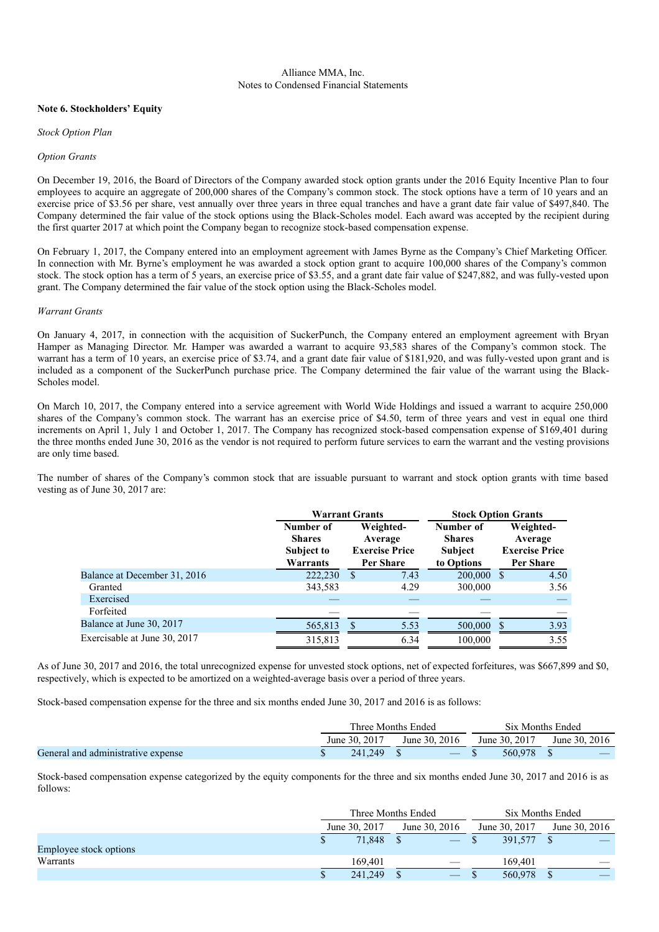## **Note 6. Stockholders' Equity**

*Stock Option Plan*

#### *Option Grants*

On December 19, 2016, the Board of Directors of the Company awarded stock option grants under the 2016 Equity Incentive Plan to four employees to acquire an aggregate of 200,000 shares of the Company's common stock. The stock options have a term of 10 years and an exercise price of \$3.56 per share, vest annually over three years in three equal tranches and have a grant date fair value of \$497,840. The Company determined the fair value of the stock options using the Black-Scholes model. Each award was accepted by the recipient during the first quarter 2017 at which point the Company began to recognize stock-based compensation expense.

On February 1, 2017, the Company entered into an employment agreement with James Byrne as the Company's Chief Marketing Officer. In connection with Mr. Byrne's employment he was awarded a stock option grant to acquire 100,000 shares of the Company's common stock. The stock option has a term of 5 years, an exercise price of \$3.55, and a grant date fair value of \$247,882, and was fully-vested upon grant. The Company determined the fair value of the stock option using the Black-Scholes model.

## *Warrant Grants*

On January 4, 2017, in connection with the acquisition of SuckerPunch, the Company entered an employment agreement with Bryan Hamper as Managing Director. Mr. Hamper was awarded a warrant to acquire 93,583 shares of the Company's common stock. The warrant has a term of 10 years, an exercise price of \$3.74, and a grant date fair value of \$181,920, and was fully-vested upon grant and is included as a component of the SuckerPunch purchase price. The Company determined the fair value of the warrant using the Black-Scholes model.

On March 10, 2017, the Company entered into a service agreement with World Wide Holdings and issued a warrant to acquire 250,000 shares of the Company's common stock. The warrant has an exercise price of \$4.50, term of three years and vest in equal one third increments on April 1, July 1 and October 1, 2017. The Company has recognized stock-based compensation expense of \$169,401 during the three months ended June 30, 2016 as the vendor is not required to perform future services to earn the warrant and the vesting provisions are only time based.

The number of shares of the Company's common stock that are issuable pursuant to warrant and stock option grants with time based vesting as of June 30, 2017 are:

|                              |                                                             | <b>Warrant Grants</b>                                      | <b>Stock Option Grants</b>                                 |                                                            |  |  |  |  |
|------------------------------|-------------------------------------------------------------|------------------------------------------------------------|------------------------------------------------------------|------------------------------------------------------------|--|--|--|--|
|                              | Number of<br><b>Shares</b><br><b>Subject to</b><br>Warrants | Weighted-<br>Average<br><b>Exercise Price</b><br>Per Share | Number of<br><b>Shares</b><br><b>Subject</b><br>to Options | Weighted-<br>Average<br><b>Exercise Price</b><br>Per Share |  |  |  |  |
| Balance at December 31, 2016 | 222,230                                                     | <sup>\$</sup><br>7.43                                      | 200,000                                                    | 4.50<br>-S                                                 |  |  |  |  |
| Granted                      | 343,583                                                     | 4.29                                                       | 300,000                                                    | 3.56                                                       |  |  |  |  |
| Exercised                    |                                                             |                                                            |                                                            |                                                            |  |  |  |  |
| Forfeited                    |                                                             |                                                            |                                                            |                                                            |  |  |  |  |
| Balance at June 30, 2017     | 565,813                                                     | 5.53<br>£.                                                 | 500,000                                                    | 3.93<br>S                                                  |  |  |  |  |
| Exercisable at June 30, 2017 | 315,813                                                     | 6.34                                                       | 100,000                                                    | 3.55                                                       |  |  |  |  |

As of June 30, 2017 and 2016, the total unrecognized expense for unvested stock options, net of expected forfeitures, was \$667,899 and \$0, respectively, which is expected to be amortized on a weighted-average basis over a period of three years.

Stock-based compensation expense for the three and six months ended June 30, 2017 and 2016 is as follows:

|                                    | Three Months Ended |               |  | Six Months Ended            |  |  |
|------------------------------------|--------------------|---------------|--|-----------------------------|--|--|
|                                    | June 30, 2017      | June 30, 2016 |  | June 30, 2017 June 30, 2016 |  |  |
| General and administrative expense | 241.249 \$         | $-$ \$        |  | 560.978                     |  |  |

Stock-based compensation expense categorized by the equity components for the three and six months ended June 30, 2017 and 2016 is as follows:

|                               |               | Three Months Ended | Six Months Ended |               |  |
|-------------------------------|---------------|--------------------|------------------|---------------|--|
|                               | June 30, 2017 | June 30, 2016      | June 30, 2017    | June 30, 2016 |  |
| <b>Employee stock options</b> | 71.848        |                    | 391,577          |               |  |
| Warrants                      | 169.401       |                    | 169.401          |               |  |
|                               | 241,249       |                    | 560,978          |               |  |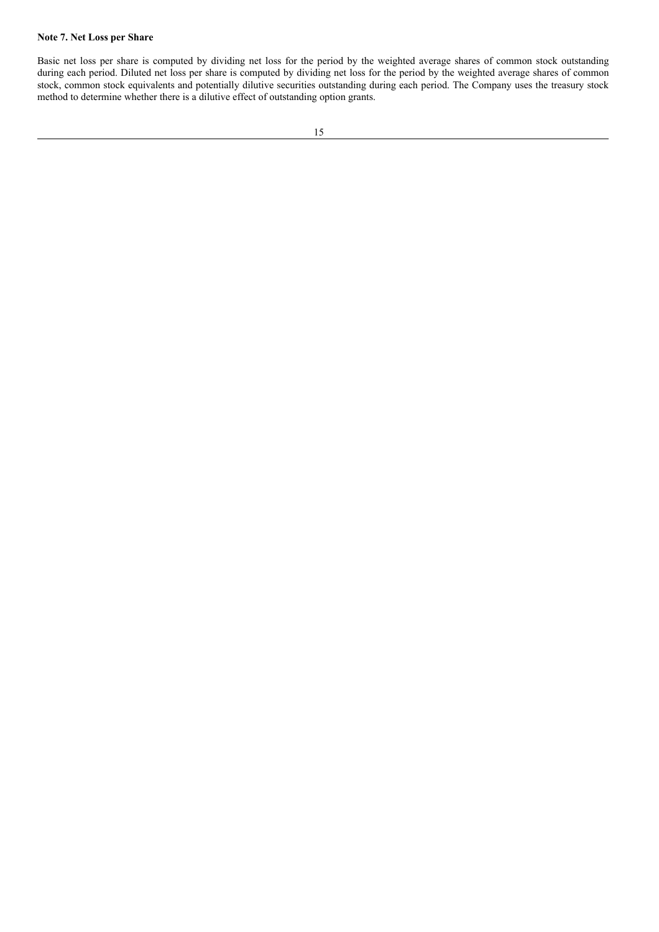## **Note 7. Net Loss per Share**

Basic net loss per share is computed by dividing net loss for the period by the weighted average shares of common stock outstanding during each period. Diluted net loss per share is computed by dividing net loss for the period by the weighted average shares of common stock, common stock equivalents and potentially dilutive securities outstanding during each period. The Company uses the treasury stock method to determine whether there is a dilutive effect of outstanding option grants.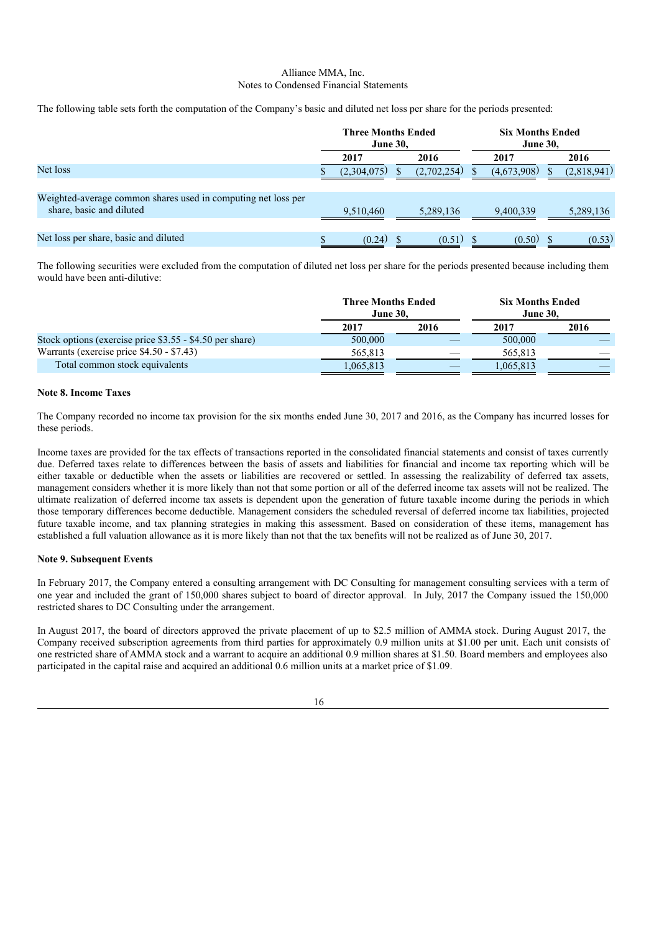The following table sets forth the computation of the Company's basic and diluted net loss per share for the periods presented:

|                                                               | <b>Three Months Ended</b><br><b>June 30,</b> |             |  |             | <b>Six Months Ended</b><br><b>June 30,</b> |             |  |             |
|---------------------------------------------------------------|----------------------------------------------|-------------|--|-------------|--------------------------------------------|-------------|--|-------------|
|                                                               |                                              | 2017        |  | 2016        |                                            | 2017        |  | 2016        |
| Net loss                                                      |                                              | (2,304,075) |  | (2,702,254) |                                            | (4,673,908) |  | (2,818,941) |
|                                                               |                                              |             |  |             |                                            |             |  |             |
| Weighted-average common shares used in computing net loss per |                                              |             |  |             |                                            |             |  |             |
| share, basic and diluted                                      |                                              | 9,510,460   |  | 5,289,136   |                                            | 9.400.339   |  | 5,289,136   |
|                                                               |                                              |             |  |             |                                            |             |  |             |
| Net loss per share, basic and diluted                         |                                              | (0.24)      |  | (0.51)      |                                            | (0.50)      |  | (0.53)      |

The following securities were excluded from the computation of diluted net loss per share for the periods presented because including them would have been anti-dilutive:

|                                                          | <b>Three Months Ended</b><br><b>June 30.</b> |                          | <b>Six Months Ended</b><br><b>June 30.</b> |      |
|----------------------------------------------------------|----------------------------------------------|--------------------------|--------------------------------------------|------|
|                                                          | 2017                                         | 2016                     | 2017                                       | 2016 |
| Stock options (exercise price \$3.55 - \$4.50 per share) | 500,000                                      |                          | 500,000                                    |      |
| Warrants (exercise price \$4.50 - \$7.43)                | 565,813                                      | $\overline{\phantom{a}}$ | 565.813                                    |      |
| Total common stock equivalents                           | 1,065,813                                    |                          | 1.065.813                                  |      |

## **Note 8. Income Taxes**

The Company recorded no income tax provision for the six months ended June 30, 2017 and 2016, as the Company has incurred losses for these periods.

Income taxes are provided for the tax effects of transactions reported in the consolidated financial statements and consist of taxes currently due. Deferred taxes relate to differences between the basis of assets and liabilities for financial and income tax reporting which will be either taxable or deductible when the assets or liabilities are recovered or settled. In assessing the realizability of deferred tax assets, management considers whether it is more likely than not that some portion or all of the deferred income tax assets will not be realized. The ultimate realization of deferred income tax assets is dependent upon the generation of future taxable income during the periods in which those temporary differences become deductible. Management considers the scheduled reversal of deferred income tax liabilities, projected future taxable income, and tax planning strategies in making this assessment. Based on consideration of these items, management has established a full valuation allowance as it is more likely than not that the tax benefits will not be realized as of June 30, 2017.

## **Note 9. Subsequent Events**

In February 2017, the Company entered a consulting arrangement with DC Consulting for management consulting services with a term of one year and included the grant of 150,000 shares subject to board of director approval. In July, 2017 the Company issued the 150,000 restricted shares to DC Consulting under the arrangement.

In August 2017, the board of directors approved the private placement of up to \$2.5 million of AMMA stock. During August 2017, the Company received subscription agreements from third parties for approximately 0.9 million units at \$1.00 per unit. Each unit consists of one restricted share of AMMA stock and a warrant to acquire an additional 0.9 million shares at \$1.50. Board members and employees also participated in the capital raise and acquired an additional 0.6 million units at a market price of \$1.09.

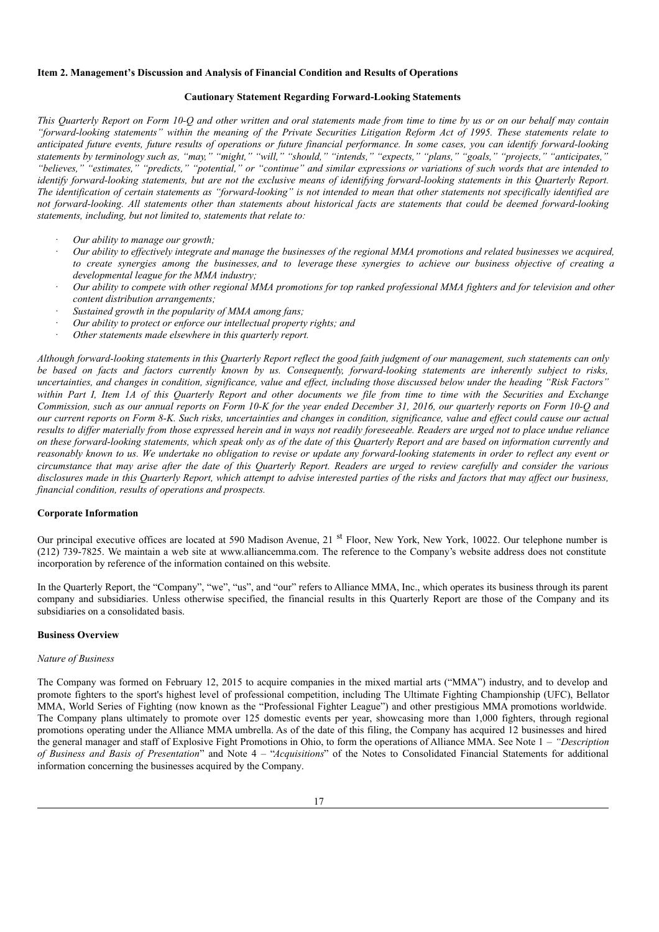#### **Item 2. Management's Discussion and Analysis of Financial Condition and Results of Operations**

## **Cautionary Statement Regarding Forward-Looking Statements**

This Quarterly Report on Form 10-Q and other written and oral statements made from time to time by us or on our behalf may contain "forward-looking statements" within the meaning of the Private Securities Litigation Reform Act of 1995. These statements relate to anticipated future events, future results of operations or future financial performance. In some cases, you can identify forward-looking statements by terminology such as, "may," "might," "will," "should," "intends," "expects," "plans," "goals," "projects," "anticipates," "believes," "estimates," "predicts," "potential," or "continue" and similar expressions or variations of such words that are intended to identify forward-looking statements, but are not the exclusive means of identifying forward-looking statements in this Quarterly Report. The identification of certain statements as "forward-looking" is not intended to mean that other statements not specifically identified are not forward-looking. All statements other than statements about historical facts are statements that could be deemed forward-looking *statements, including, but not limited to, statements that relate to:*

- · *Our ability to manage our growth;*
- Our ability to effectively integrate and manage the businesses of the regional MMA promotions and related businesses we acquired, to create synergies among the businesses, and to leverage these synergies to achieve our business objective of creating a *developmental league for the MMA industry;*
- Our ability to compete with other regional MMA promotions for top ranked professional MMA fighters and for television and other *content distribution arrangements;*
- · *Sustained growth in the popularity of MMA among fans;*
- · *Our ability to protect or enforce our intellectual property rights; and*
- · *Other statements made elsewhere in this quarterly report.*

Although forward-looking statements in this Quarterly Report reflect the good faith judgment of our management, such statements can only be based on facts and factors currently known by us. Consequently, forward-looking statements are inherently subject to risks, uncertainties, and changes in condition, significance, value and effect, including those discussed below under the heading "Risk Factors" within Part I, Item 1A of this Quarterly Report and other documents we file from time to time with the Securities and Exchange Commission, such as our annual reports on Form 10-K for the year ended December 31, 2016, our quarterly reports on Form 10-O and our current reports on Form 8-K. Such risks, uncertainties and changes in condition, significance, value and effect could cause our actual results to differ materially from those expressed herein and in ways not readily foreseeable. Readers are urged not to place undue reliance on these forward-looking statements, which speak only as of the date of this Quarterly Report and are based on information currently and reasonably known to us. We undertake no obligation to revise or update any forward-looking statements in order to reflect any event or circumstance that may arise after the date of this Quarterly Report. Readers are urged to review carefully and consider the various disclosures made in this Quarterly Report, which attempt to advise interested parties of the risks and factors that may affect our business, *financial condition, results of operations and prospects.*

#### **Corporate Information**

Our principal executive offices are located at 590 Madison Avenue, 21<sup>st</sup> Floor, New York, New York, 10022. Our telephone number is (212) 739-7825. We maintain a web site at www.alliancemma.com. The reference to the Company's website address does not constitute incorporation by reference of the information contained on this website.

In the Quarterly Report, the "Company", "we", "us", and "our" refers to Alliance MMA, Inc., which operates its business through its parent company and subsidiaries. Unless otherwise specified, the financial results in this Quarterly Report are those of the Company and its subsidiaries on a consolidated basis.

## **Business Overview**

#### *Nature of Business*

The Company was formed on February 12, 2015 to acquire companies in the mixed martial arts ("MMA") industry, and to develop and promote fighters to the sport's highest level of professional competition, including The Ultimate Fighting Championship (UFC), Bellator MMA, World Series of Fighting (now known as the "Professional Fighter League") and other prestigious MMA promotions worldwide. The Company plans ultimately to promote over 125 domestic events per year, showcasing more than 1,000 fighters, through regional promotions operating under the Alliance MMA umbrella. As of the date of this filing, the Company has acquired 12 businesses and hired the general manager and staff of Explosive Fight Promotions in Ohio, to form the operations of Alliance MMA. See Note 1 *– "Description of Business and Basis of Presentation*" and Note 4 – "*Acquisitions*" of the Notes to Consolidated Financial Statements for additional information concerning the businesses acquired by the Company.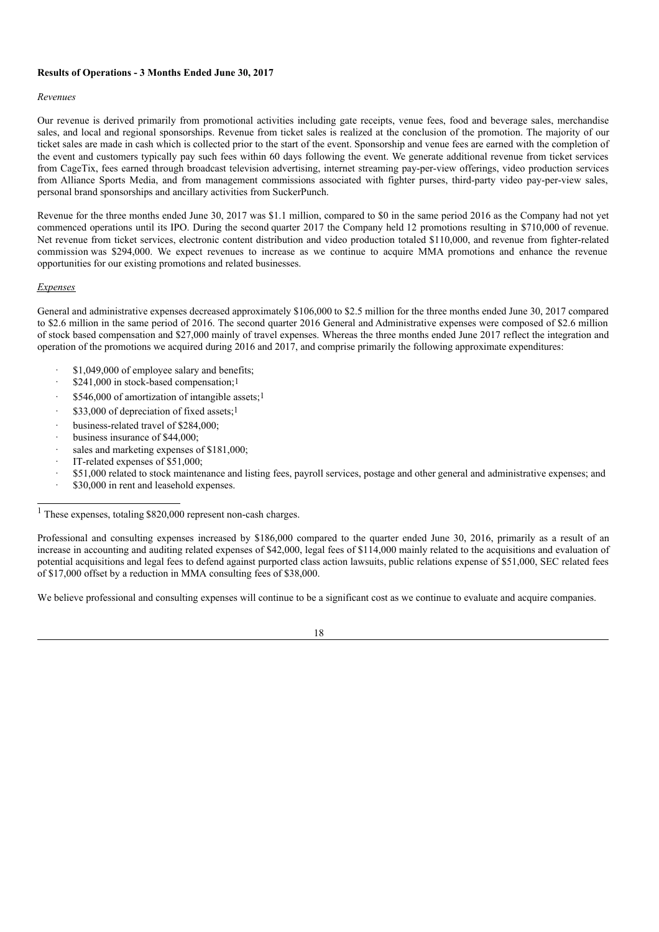## **Results of Operations - 3 Months Ended June 30, 2017**

#### *Revenues*

Our revenue is derived primarily from promotional activities including gate receipts, venue fees, food and beverage sales, merchandise sales, and local and regional sponsorships. Revenue from ticket sales is realized at the conclusion of the promotion. The majority of our ticket sales are made in cash which is collected prior to the start of the event. Sponsorship and venue fees are earned with the completion of the event and customers typically pay such fees within 60 days following the event. We generate additional revenue from ticket services from CageTix, fees earned through broadcast television advertising, internet streaming pay-per-view offerings, video production services from Alliance Sports Media, and from management commissions associated with fighter purses, third-party video pay-per-view sales, personal brand sponsorships and ancillary activities from SuckerPunch.

Revenue for the three months ended June 30, 2017 was \$1.1 million, compared to \$0 in the same period 2016 as the Company had not yet commenced operations until its IPO. During the second quarter 2017 the Company held 12 promotions resulting in \$710,000 of revenue. Net revenue from ticket services, electronic content distribution and video production totaled \$110,000, and revenue from fighter-related commission was \$294,000. We expect revenues to increase as we continue to acquire MMA promotions and enhance the revenue opportunities for our existing promotions and related businesses.

#### *Expenses*

General and administrative expenses decreased approximately \$106,000 to \$2.5 million for the three months ended June 30, 2017 compared to \$2.6 million in the same period of 2016. The second quarter 2016 General and Administrative expenses were composed of \$2.6 million of stock based compensation and \$27,000 mainly of travel expenses. Whereas the three months ended June 2017 reflect the integration and operation of the promotions we acquired during 2016 and 2017, and comprise primarily the following approximate expenditures:

- · \$1,049,000 of employee salary and benefits;
- \$241,000 in stock-based compensation;<sup>1</sup>
- \$546,000 of amortization of intangible assets: $1$
- \$33,000 of depreciation of fixed assets;<sup>1</sup>
- business-related travel of \$284,000;
- business insurance of \$44,000;
- sales and marketing expenses of \$181,000;
- IT-related expenses of \$51,000;
- · \$51,000 related to stock maintenance and listing fees, payroll services, postage and other general and administrative expenses; and
- \$30,000 in rent and leasehold expenses.

Professional and consulting expenses increased by \$186,000 compared to the quarter ended June 30, 2016, primarily as a result of an increase in accounting and auditing related expenses of \$42,000, legal fees of \$114,000 mainly related to the acquisitions and evaluation of potential acquisitions and legal fees to defend against purported class action lawsuits, public relations expense of \$51,000, SEC related fees of \$17,000 offset by a reduction in MMA consulting fees of \$38,000.

We believe professional and consulting expenses will continue to be a significant cost as we continue to evaluate and acquire companies.



<sup>1</sup> These expenses, totaling \$820,000 represent non-cash charges.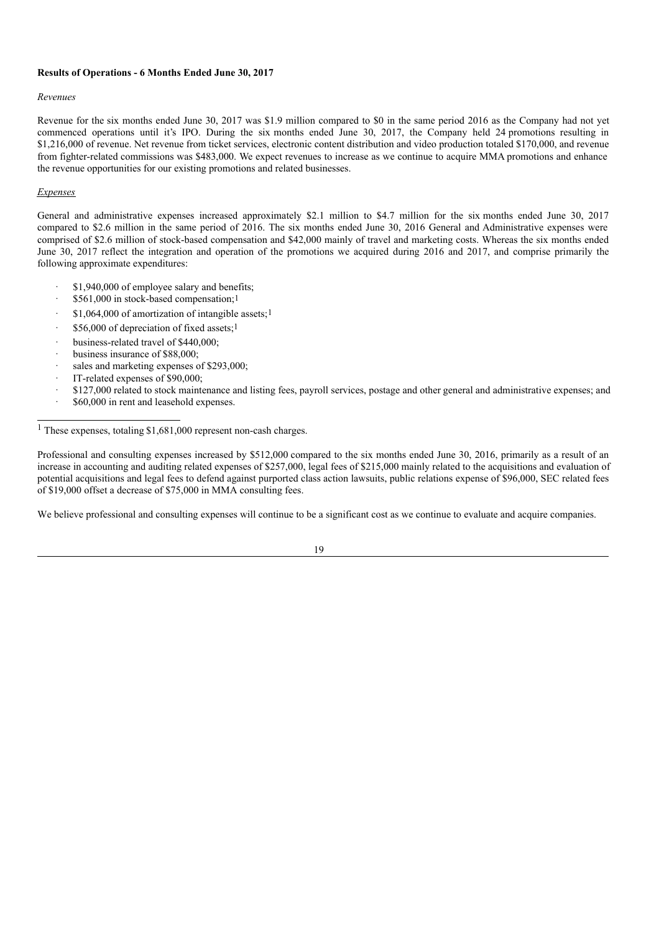## **Results of Operations - 6 Months Ended June 30, 2017**

#### *Revenues*

Revenue for the six months ended June 30, 2017 was \$1.9 million compared to \$0 in the same period 2016 as the Company had not yet commenced operations until it's IPO. During the six months ended June 30, 2017, the Company held 24 promotions resulting in \$1,216,000 of revenue. Net revenue from ticket services, electronic content distribution and video production totaled \$170,000, and revenue from fighter-related commissions was \$483,000. We expect revenues to increase as we continue to acquire MMA promotions and enhance the revenue opportunities for our existing promotions and related businesses.

## *Expenses*

General and administrative expenses increased approximately \$2.1 million to \$4.7 million for the six months ended June 30, 2017 compared to \$2.6 million in the same period of 2016. The six months ended June 30, 2016 General and Administrative expenses were comprised of \$2.6 million of stock-based compensation and \$42,000 mainly of travel and marketing costs. Whereas the six months ended June 30, 2017 reflect the integration and operation of the promotions we acquired during 2016 and 2017, and comprise primarily the following approximate expenditures:

- · \$1,940,000 of employee salary and benefits;
- · \$561,000 in stock-based compensation;1
- $$1,064,000$  of amortization of intangible assets;<sup>1</sup>
- · \$56,000 of depreciation of fixed assets;1
- business-related travel of \$440,000:
- business insurance of \$88,000;
- sales and marketing expenses of \$293,000;
- IT-related expenses of \$90,000;
- · \$127,000 related to stock maintenance and listing fees, payroll services, postage and other general and administrative expenses; and
- · \$60,000 in rent and leasehold expenses.

## <sup>1</sup> These expenses, totaling \$1,681,000 represent non-cash charges.

Professional and consulting expenses increased by \$512,000 compared to the six months ended June 30, 2016, primarily as a result of an increase in accounting and auditing related expenses of \$257,000, legal fees of \$215,000 mainly related to the acquisitions and evaluation of potential acquisitions and legal fees to defend against purported class action lawsuits, public relations expense of \$96,000, SEC related fees of \$19,000 offset a decrease of \$75,000 in MMA consulting fees.

We believe professional and consulting expenses will continue to be a significant cost as we continue to evaluate and acquire companies.

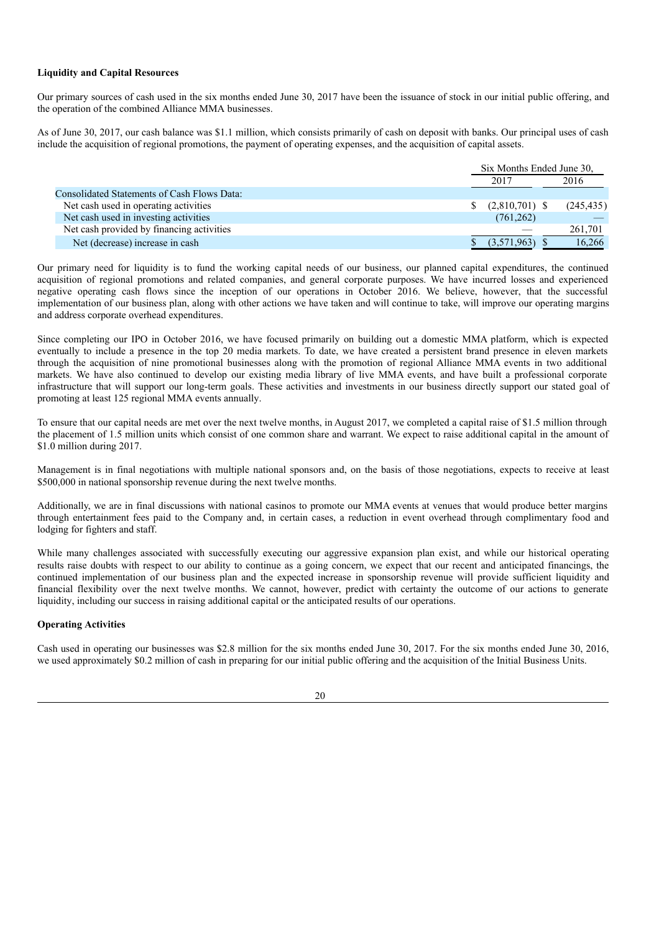## **Liquidity and Capital Resources**

Our primary sources of cash used in the six months ended June 30, 2017 have been the issuance of stock in our initial public offering, and the operation of the combined Alliance MMA businesses.

As of June 30, 2017, our cash balance was \$1.1 million, which consists primarily of cash on deposit with banks. Our principal uses of cash include the acquisition of regional promotions, the payment of operating expenses, and the acquisition of capital assets.

|                                             | Six Months Ended June 30, |  |            |
|---------------------------------------------|---------------------------|--|------------|
|                                             | 2017                      |  | 2016       |
| Consolidated Statements of Cash Flows Data: |                           |  |            |
| Net cash used in operating activities       | $(2,810,701)$ \$          |  | (245, 435) |
| Net cash used in investing activities       | (761, 262)                |  |            |
| Net cash provided by financing activities   |                           |  | 261,701    |
| Net (decrease) increase in cash             | (3.571.963)               |  | 16,266     |

Our primary need for liquidity is to fund the working capital needs of our business, our planned capital expenditures, the continued acquisition of regional promotions and related companies, and general corporate purposes. We have incurred losses and experienced negative operating cash flows since the inception of our operations in October 2016. We believe, however, that the successful implementation of our business plan, along with other actions we have taken and will continue to take, will improve our operating margins and address corporate overhead expenditures.

Since completing our IPO in October 2016, we have focused primarily on building out a domestic MMA platform, which is expected eventually to include a presence in the top 20 media markets. To date, we have created a persistent brand presence in eleven markets through the acquisition of nine promotional businesses along with the promotion of regional Alliance MMA events in two additional markets. We have also continued to develop our existing media library of live MMA events, and have built a professional corporate infrastructure that will support our long-term goals. These activities and investments in our business directly support our stated goal of promoting at least 125 regional MMA events annually.

To ensure that our capital needs are met over the next twelve months, in August 2017, we completed a capital raise of \$1.5 million through the placement of 1.5 million units which consist of one common share and warrant. We expect to raise additional capital in the amount of \$1.0 million during 2017.

Management is in final negotiations with multiple national sponsors and, on the basis of those negotiations, expects to receive at least \$500,000 in national sponsorship revenue during the next twelve months.

Additionally, we are in final discussions with national casinos to promote our MMA events at venues that would produce better margins through entertainment fees paid to the Company and, in certain cases, a reduction in event overhead through complimentary food and lodging for fighters and staff.

While many challenges associated with successfully executing our aggressive expansion plan exist, and while our historical operating results raise doubts with respect to our ability to continue as a going concern, we expect that our recent and anticipated financings, the continued implementation of our business plan and the expected increase in sponsorship revenue will provide sufficient liquidity and financial flexibility over the next twelve months. We cannot, however, predict with certainty the outcome of our actions to generate liquidity, including our success in raising additional capital or the anticipated results of our operations.

## **Operating Activities**

Cash used in operating our businesses was \$2.8 million for the six months ended June 30, 2017. For the six months ended June 30, 2016, we used approximately \$0.2 million of cash in preparing for our initial public offering and the acquisition of the Initial Business Units.

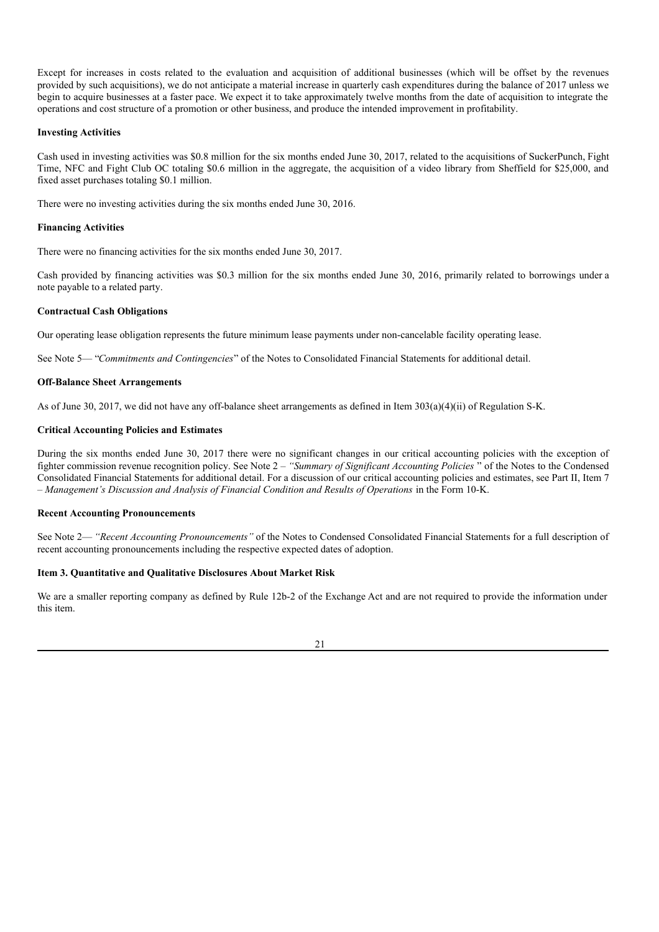Except for increases in costs related to the evaluation and acquisition of additional businesses (which will be offset by the revenues provided by such acquisitions), we do not anticipate a material increase in quarterly cash expenditures during the balance of 2017 unless we begin to acquire businesses at a faster pace. We expect it to take approximately twelve months from the date of acquisition to integrate the operations and cost structure of a promotion or other business, and produce the intended improvement in profitability.

## **Investing Activities**

Cash used in investing activities was \$0.8 million for the six months ended June 30, 2017, related to the acquisitions of SuckerPunch, Fight Time, NFC and Fight Club OC totaling \$0.6 million in the aggregate, the acquisition of a video library from Sheffield for \$25,000, and fixed asset purchases totaling \$0.1 million.

There were no investing activities during the six months ended June 30, 2016.

## **Financing Activities**

There were no financing activities for the six months ended June 30, 2017.

Cash provided by financing activities was \$0.3 million for the six months ended June 30, 2016, primarily related to borrowings under a note payable to a related party.

#### **Contractual Cash Obligations**

Our operating lease obligation represents the future minimum lease payments under non-cancelable facility operating lease.

See Note 5— "*Commitments and Contingencies*" of the Notes to Consolidated Financial Statements for additional detail.

## **Off-Balance Sheet Arrangements**

As of June 30, 2017, we did not have any off-balance sheet arrangements as defined in Item 303(a)(4)(ii) of Regulation S-K.

## **Critical Accounting Policies and Estimates**

During the six months ended June 30, 2017 there were no significant changes in our critical accounting policies with the exception of fighter commission revenue recognition policy. See Note 2 – *"Summary of Significant Accounting Policies* " of the Notes to the Condensed Consolidated Financial Statements for additional detail. For a discussion of our critical accounting policies and estimates, see Part II, Item 7 – *Management's Discussion and Analysis of Financial Condition and Results of Operations* in the Form 10-K.

#### **Recent Accounting Pronouncements**

See Note 2— *"Recent Accounting Pronouncements"* of the Notes to Condensed Consolidated Financial Statements for a full description of recent accounting pronouncements including the respective expected dates of adoption.

## **Item 3. Quantitative and Qualitative Disclosures About Market Risk**

We are a smaller reporting company as defined by Rule 12b-2 of the Exchange Act and are not required to provide the information under this item.

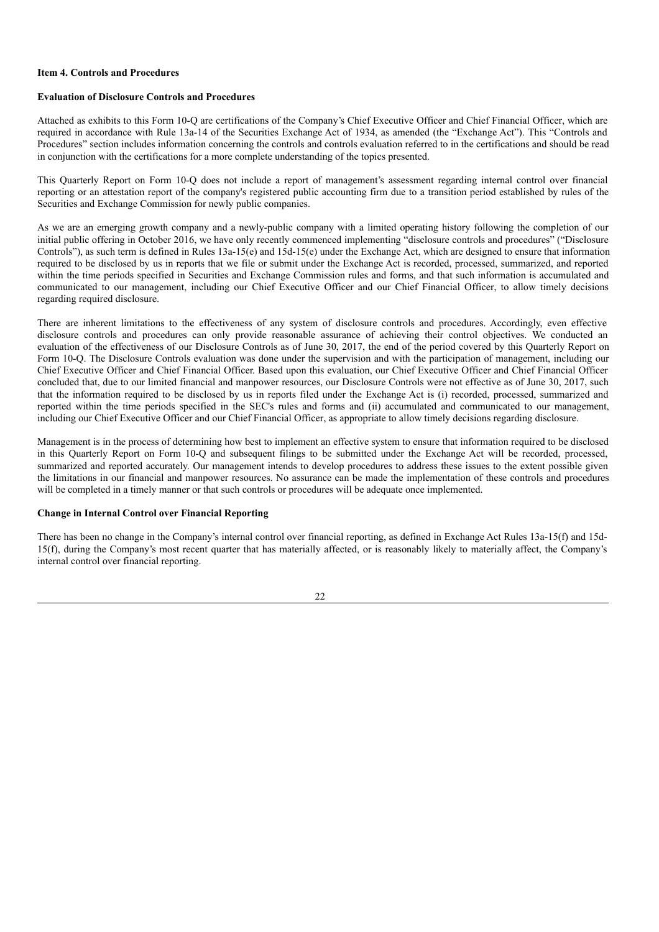#### **Item 4. Controls and Procedures**

#### **Evaluation of Disclosure Controls and Procedures**

Attached as exhibits to this Form 10-Q are certifications of the Company's Chief Executive Officer and Chief Financial Officer, which are required in accordance with Rule 13a-14 of the Securities Exchange Act of 1934, as amended (the "Exchange Act"). This "Controls and Procedures" section includes information concerning the controls and controls evaluation referred to in the certifications and should be read in conjunction with the certifications for a more complete understanding of the topics presented.

This Quarterly Report on Form 10-Q does not include a report of management's assessment regarding internal control over financial reporting or an attestation report of the company's registered public accounting firm due to a transition period established by rules of the Securities and Exchange Commission for newly public companies.

As we are an emerging growth company and a newly-public company with a limited operating history following the completion of our initial public offering in October 2016, we have only recently commenced implementing "disclosure controls and procedures" ("Disclosure Controls"), as such term is defined in Rules  $13a-15(e)$  and  $15d-15(e)$  under the Exchange Act, which are designed to ensure that information required to be disclosed by us in reports that we file or submit under the Exchange Act is recorded, processed, summarized, and reported within the time periods specified in Securities and Exchange Commission rules and forms, and that such information is accumulated and communicated to our management, including our Chief Executive Officer and our Chief Financial Officer, to allow timely decisions regarding required disclosure.

There are inherent limitations to the effectiveness of any system of disclosure controls and procedures. Accordingly, even effective disclosure controls and procedures can only provide reasonable assurance of achieving their control objectives. We conducted an evaluation of the effectiveness of our Disclosure Controls as of June 30, 2017, the end of the period covered by this Quarterly Report on Form 10-Q. The Disclosure Controls evaluation was done under the supervision and with the participation of management, including our Chief Executive Officer and Chief Financial Officer. Based upon this evaluation, our Chief Executive Officer and Chief Financial Officer concluded that, due to our limited financial and manpower resources, our Disclosure Controls were not effective as of June 30, 2017, such that the information required to be disclosed by us in reports filed under the Exchange Act is (i) recorded, processed, summarized and reported within the time periods specified in the SEC's rules and forms and (ii) accumulated and communicated to our management, including our Chief Executive Officer and our Chief Financial Officer, as appropriate to allow timely decisions regarding disclosure.

Management is in the process of determining how best to implement an effective system to ensure that information required to be disclosed in this Quarterly Report on Form 10-Q and subsequent filings to be submitted under the Exchange Act will be recorded, processed, summarized and reported accurately. Our management intends to develop procedures to address these issues to the extent possible given the limitations in our financial and manpower resources. No assurance can be made the implementation of these controls and procedures will be completed in a timely manner or that such controls or procedures will be adequate once implemented.

## **Change in Internal Control over Financial Reporting**

There has been no change in the Company's internal control over financial reporting, as defined in Exchange Act Rules 13a-15(f) and 15d-15(f), during the Company's most recent quarter that has materially affected, or is reasonably likely to materially affect, the Company's internal control over financial reporting.

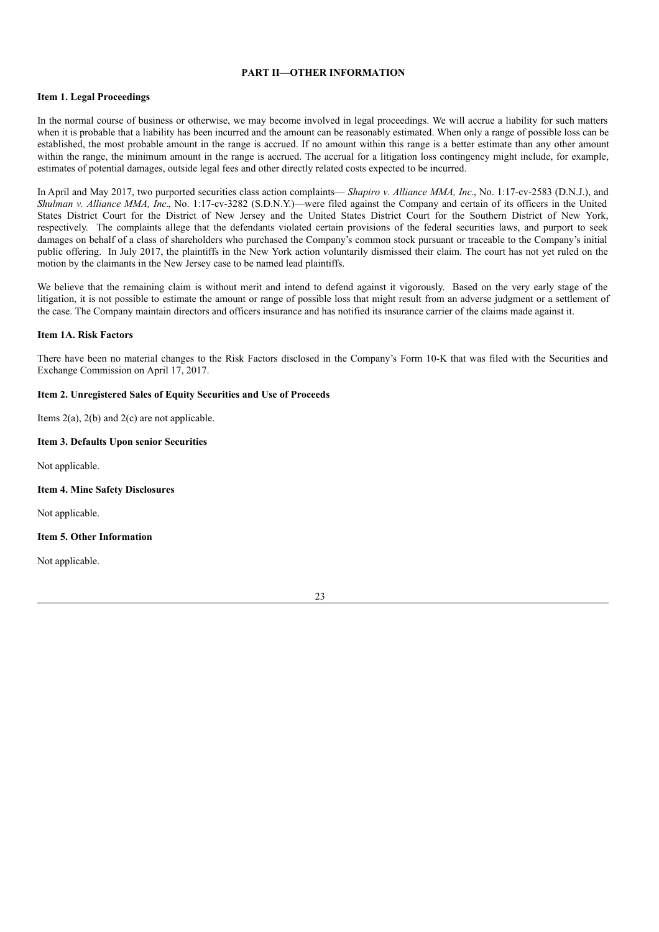## **PART II—OTHER INFORMATION**

## **Item 1. Legal Proceedings**

In the normal course of business or otherwise, we may become involved in legal proceedings. We will accrue a liability for such matters when it is probable that a liability has been incurred and the amount can be reasonably estimated. When only a range of possible loss can be established, the most probable amount in the range is accrued. If no amount within this range is a better estimate than any other amount within the range, the minimum amount in the range is accrued. The accrual for a litigation loss contingency might include, for example, estimates of potential damages, outside legal fees and other directly related costs expected to be incurred.

In April and May 2017, two purported securities class action complaints— *Shapiro v. Alliance MMA, Inc.*, No. 1:17-cv-2583 (D.N.J.), and *Shulman v. Alliance MMA, Inc.*, No. 1:17-cv-3282 (S.D.N.Y.)—were filed against the Company and certain of its officers in the United States District Court for the District of New Jersey and the United States District Court for the Southern District of New York, respectively. The complaints allege that the defendants violated certain provisions of the federal securities laws, and purport to seek damages on behalf of a class of shareholders who purchased the Company's common stock pursuant or traceable to the Company's initial public offering. In July 2017, the plaintiffs in the New York action voluntarily dismissed their claim. The court has not yet ruled on the motion by the claimants in the New Jersey case to be named lead plaintiffs.

We believe that the remaining claim is without merit and intend to defend against it vigorously. Based on the very early stage of the litigation, it is not possible to estimate the amount or range of possible loss that might result from an adverse judgment or a settlement of the case. The Company maintain directors and officers insurance and has notified its insurance carrier of the claims made against it.

## **Item 1A. Risk Factors**

There have been no material changes to the Risk Factors disclosed in the Company's Form 10-K that was filed with the Securities and Exchange Commission on April 17, 2017.

## **Item 2. Unregistered Sales of Equity Securities and Use of Proceeds**

Items  $2(a)$ ,  $2(b)$  and  $2(c)$  are not applicable.

## **Item 3. Defaults Upon senior Securities**

Not applicable.

**Item 4. Mine Safety Disclosures**

Not applicable.

## **Item 5. Other Information**

Not applicable.

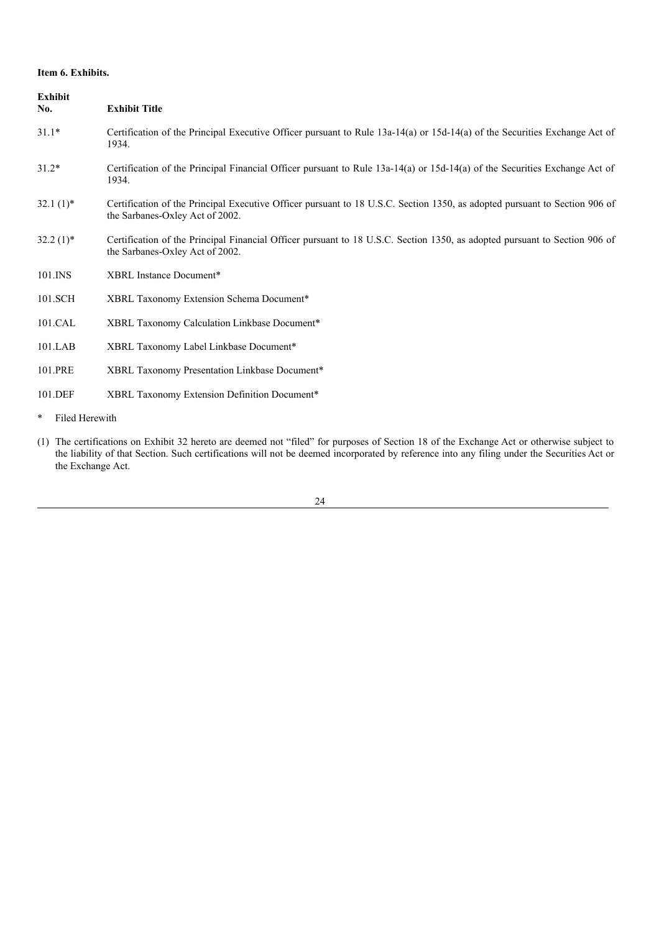## **Item 6. Exhibits.**

| <b>Exhibit</b><br>No.     | <b>Exhibit Title</b>                                                                                                                                          |
|---------------------------|---------------------------------------------------------------------------------------------------------------------------------------------------------------|
| $31.1*$                   | Certification of the Principal Executive Officer pursuant to Rule 13a-14(a) or 15d-14(a) of the Securities Exchange Act of<br>1934.                           |
| $31.2*$                   | Certification of the Principal Financial Officer pursuant to Rule 13a-14(a) or 15d-14(a) of the Securities Exchange Act of<br>1934.                           |
| $32.1(1)$ *               | Certification of the Principal Executive Officer pursuant to 18 U.S.C. Section 1350, as adopted pursuant to Section 906 of<br>the Sarbanes-Oxley Act of 2002. |
| $32.2(1)$ *               | Certification of the Principal Financial Officer pursuant to 18 U.S.C. Section 1350, as adopted pursuant to Section 906 of<br>the Sarbanes-Oxley Act of 2002. |
| 101.INS                   | XBRL Instance Document*                                                                                                                                       |
| 101.SCH                   | XBRL Taxonomy Extension Schema Document*                                                                                                                      |
| 101.CAL                   | XBRL Taxonomy Calculation Linkbase Document*                                                                                                                  |
| 101.LAB                   | XBRL Taxonomy Label Linkbase Document*                                                                                                                        |
| 101.PRE                   | XBRL Taxonomy Presentation Linkbase Document*                                                                                                                 |
| 101.DEF                   | XBRL Taxonomy Extension Definition Document*                                                                                                                  |
| $\star$<br>Filed Herewith |                                                                                                                                                               |

(1) The certifications on Exhibit 32 hereto are deemed not "filed" for purposes of Section 18 of the Exchange Act or otherwise subject to the liability of that Section. Such certifications will not be deemed incorporated by reference into any filing under the Securities Act or the Exchange Act.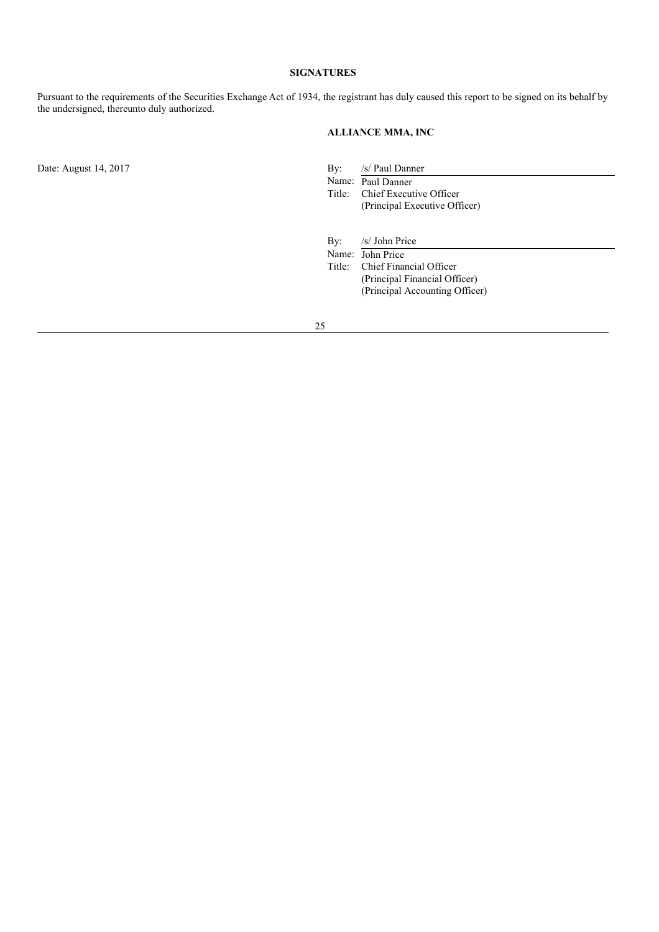## **SIGNATURES**

Pursuant to the requirements of the Securities Exchange Act of 1934, the registrant has duly caused this report to be signed on its behalf by the undersigned, thereunto duly authorized.

## **ALLIANCE MMA, INC**

Date: August 14, 2017 By: /s/ Paul Danner

Name: Paul Danner

Title: Chief Executive Officer (Principal Executive Officer)

By: /s/ John Price

Name: John Price Title: Chief Financial Officer (Principal Financial Officer) (Principal Accounting Officer)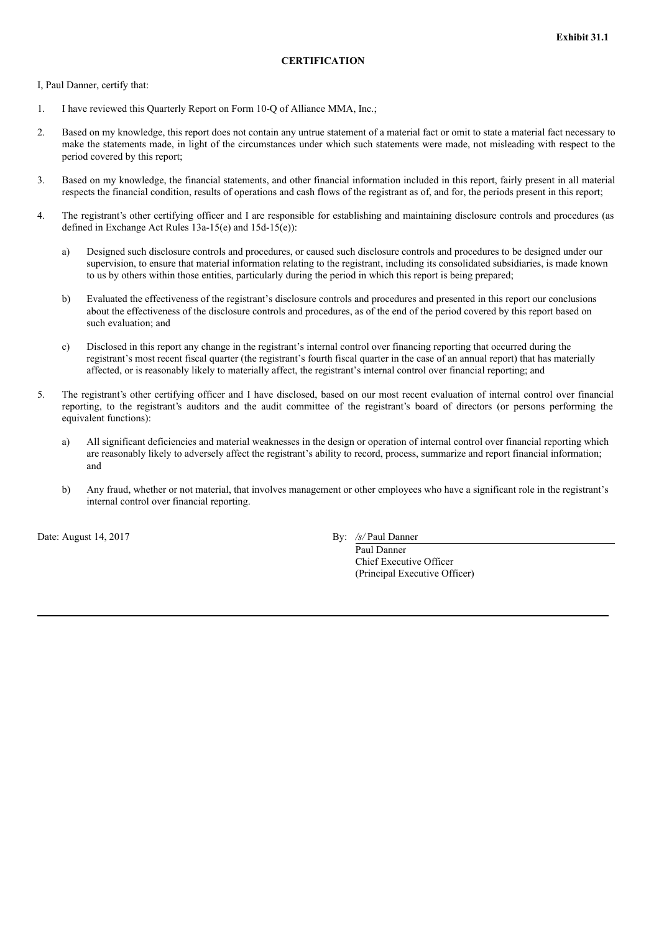## **CERTIFICATION**

I, Paul Danner, certify that:

- 1. I have reviewed this Quarterly Report on Form 10-Q of Alliance MMA, Inc.;
- 2. Based on my knowledge, this report does not contain any untrue statement of a material fact or omit to state a material fact necessary to make the statements made, in light of the circumstances under which such statements were made, not misleading with respect to the period covered by this report;
- 3. Based on my knowledge, the financial statements, and other financial information included in this report, fairly present in all material respects the financial condition, results of operations and cash flows of the registrant as of, and for, the periods present in this report;
- 4. The registrant's other certifying officer and I are responsible for establishing and maintaining disclosure controls and procedures (as defined in Exchange Act Rules 13a-15(e) and 15d-15(e)):
	- a) Designed such disclosure controls and procedures, or caused such disclosure controls and procedures to be designed under our supervision, to ensure that material information relating to the registrant, including its consolidated subsidiaries, is made known to us by others within those entities, particularly during the period in which this report is being prepared;
	- b) Evaluated the effectiveness of the registrant's disclosure controls and procedures and presented in this report our conclusions about the effectiveness of the disclosure controls and procedures, as of the end of the period covered by this report based on such evaluation; and
	- c) Disclosed in this report any change in the registrant's internal control over financing reporting that occurred during the registrant's most recent fiscal quarter (the registrant's fourth fiscal quarter in the case of an annual report) that has materially affected, or is reasonably likely to materially affect, the registrant's internal control over financial reporting; and
- 5. The registrant's other certifying officer and I have disclosed, based on our most recent evaluation of internal control over financial reporting, to the registrant's auditors and the audit committee of the registrant's board of directors (or persons performing the equivalent functions):
	- a) All significant deficiencies and material weaknesses in the design or operation of internal control over financial reporting which are reasonably likely to adversely affect the registrant's ability to record, process, summarize and report financial information; and
	- b) Any fraud, whether or not material, that involves management or other employees who have a significant role in the registrant's internal control over financial reporting.

Date: August 14, 2017 By: /s/Paul Danner

Paul Danner Chief Executive Officer (Principal Executive Officer)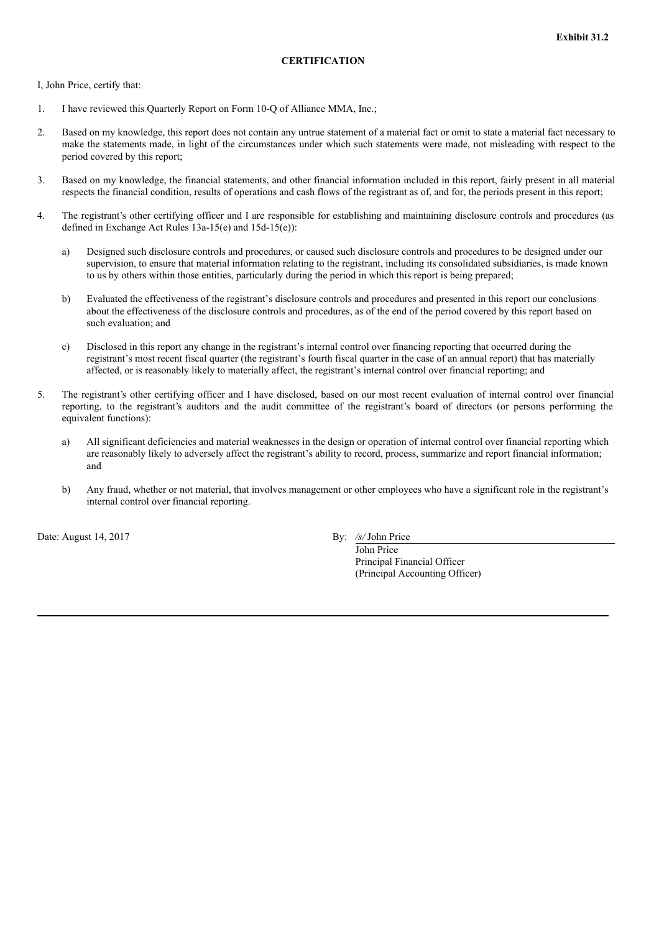## **CERTIFICATION**

I, John Price, certify that:

- 1. I have reviewed this Quarterly Report on Form 10-Q of Alliance MMA, Inc.;
- 2. Based on my knowledge, this report does not contain any untrue statement of a material fact or omit to state a material fact necessary to make the statements made, in light of the circumstances under which such statements were made, not misleading with respect to the period covered by this report;
- 3. Based on my knowledge, the financial statements, and other financial information included in this report, fairly present in all material respects the financial condition, results of operations and cash flows of the registrant as of, and for, the periods present in this report;
- 4. The registrant's other certifying officer and I are responsible for establishing and maintaining disclosure controls and procedures (as defined in Exchange Act Rules 13a-15(e) and 15d-15(e)):
	- a) Designed such disclosure controls and procedures, or caused such disclosure controls and procedures to be designed under our supervision, to ensure that material information relating to the registrant, including its consolidated subsidiaries, is made known to us by others within those entities, particularly during the period in which this report is being prepared;
	- b) Evaluated the effectiveness of the registrant's disclosure controls and procedures and presented in this report our conclusions about the effectiveness of the disclosure controls and procedures, as of the end of the period covered by this report based on such evaluation; and
	- c) Disclosed in this report any change in the registrant's internal control over financing reporting that occurred during the registrant's most recent fiscal quarter (the registrant's fourth fiscal quarter in the case of an annual report) that has materially affected, or is reasonably likely to materially affect, the registrant's internal control over financial reporting; and
- 5. The registrant's other certifying officer and I have disclosed, based on our most recent evaluation of internal control over financial reporting, to the registrant's auditors and the audit committee of the registrant's board of directors (or persons performing the equivalent functions):
	- a) All significant deficiencies and material weaknesses in the design or operation of internal control over financial reporting which are reasonably likely to adversely affect the registrant's ability to record, process, summarize and report financial information; and
	- b) Any fraud, whether or not material, that involves management or other employees who have a significant role in the registrant's internal control over financial reporting.

Date: August 14, 2017 By: /s/John Price

John Price Principal Financial Officer (Principal Accounting Officer)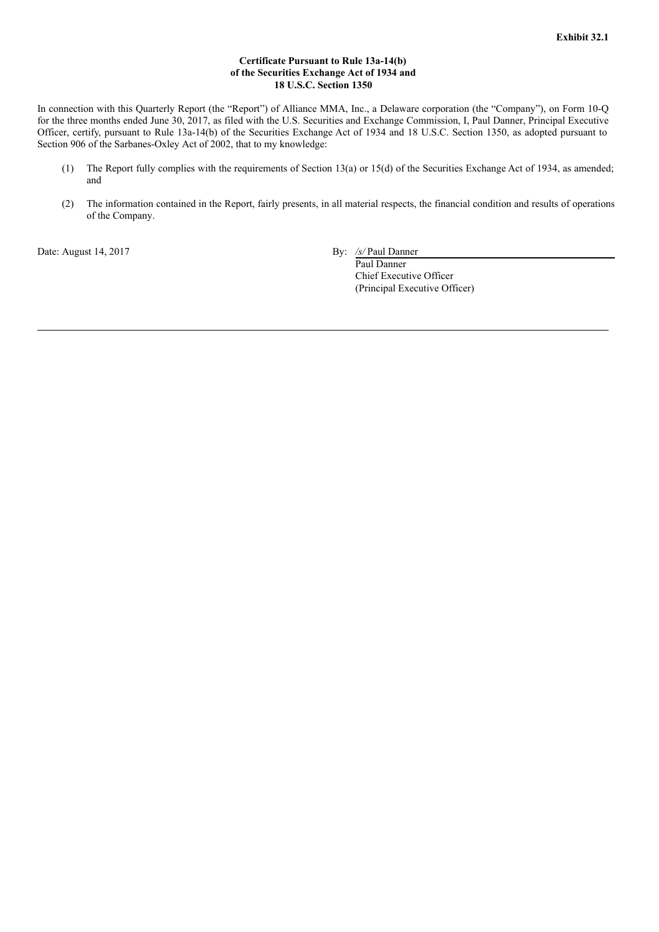#### **Certificate Pursuant to Rule 13a-14(b) of the Securities Exchange Act of 1934 and 18 U.S.C. Section 1350**

In connection with this Quarterly Report (the "Report") of Alliance MMA, Inc., a Delaware corporation (the "Company"), on Form 10-Q for the three months ended June 30, 2017, as filed with the U.S. Securities and Exchange Commission, I, Paul Danner, Principal Executive Officer, certify, pursuant to Rule 13a-14(b) of the Securities Exchange Act of 1934 and 18 U.S.C. Section 1350, as adopted pursuant to Section 906 of the Sarbanes-Oxley Act of 2002, that to my knowledge:

- (1) The Report fully complies with the requirements of Section 13(a) or 15(d) of the Securities Exchange Act of 1934, as amended; and
- (2) The information contained in the Report, fairly presents, in all material respects, the financial condition and results of operations of the Company.

Date: August 14, 2017 By: /s/Paul Danner

Paul Danner Chief Executive Officer (Principal Executive Officer)